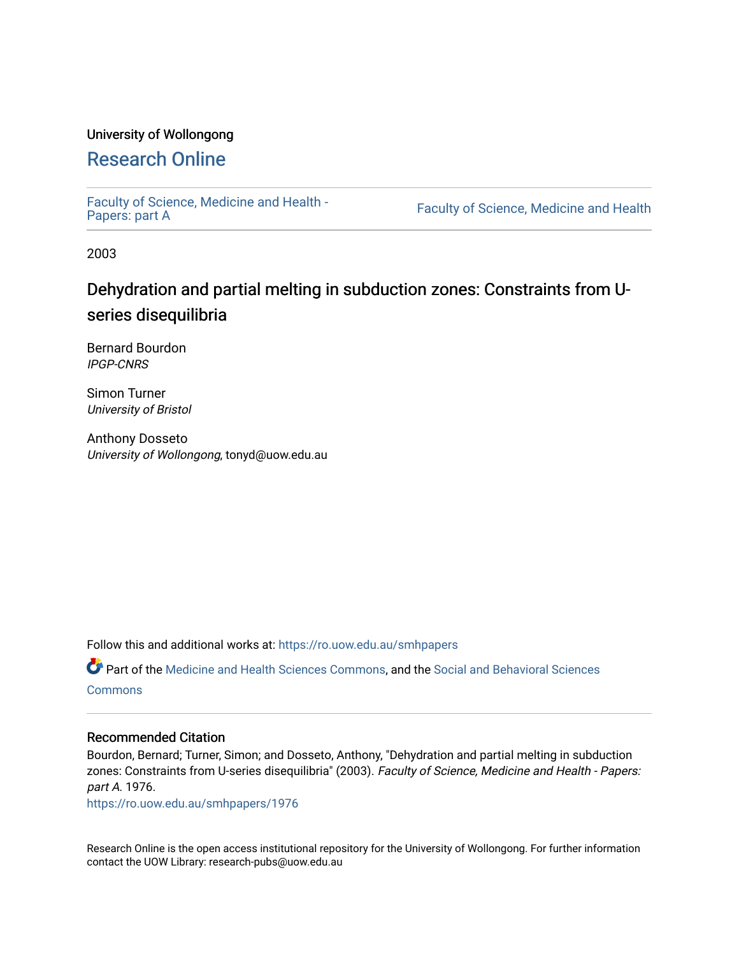# University of Wollongong

# [Research Online](https://ro.uow.edu.au/)

[Faculty of Science, Medicine and Health -](https://ro.uow.edu.au/smhpapers) Papers: part A

Faculty of Science, Medicine and Health

2003

# Dehydration and partial melting in subduction zones: Constraints from Useries disequilibria

Bernard Bourdon IPGP-CNRS

Simon Turner University of Bristol

Anthony Dosseto University of Wollongong, tonyd@uow.edu.au

Follow this and additional works at: [https://ro.uow.edu.au/smhpapers](https://ro.uow.edu.au/smhpapers?utm_source=ro.uow.edu.au%2Fsmhpapers%2F1976&utm_medium=PDF&utm_campaign=PDFCoverPages) 

Part of the [Medicine and Health Sciences Commons,](http://network.bepress.com/hgg/discipline/648?utm_source=ro.uow.edu.au%2Fsmhpapers%2F1976&utm_medium=PDF&utm_campaign=PDFCoverPages) and the [Social and Behavioral Sciences](http://network.bepress.com/hgg/discipline/316?utm_source=ro.uow.edu.au%2Fsmhpapers%2F1976&utm_medium=PDF&utm_campaign=PDFCoverPages) **[Commons](http://network.bepress.com/hgg/discipline/316?utm_source=ro.uow.edu.au%2Fsmhpapers%2F1976&utm_medium=PDF&utm_campaign=PDFCoverPages)** 

## Recommended Citation

Bourdon, Bernard; Turner, Simon; and Dosseto, Anthony, "Dehydration and partial melting in subduction zones: Constraints from U-series disequilibria" (2003). Faculty of Science, Medicine and Health - Papers: part A. 1976.

[https://ro.uow.edu.au/smhpapers/1976](https://ro.uow.edu.au/smhpapers/1976?utm_source=ro.uow.edu.au%2Fsmhpapers%2F1976&utm_medium=PDF&utm_campaign=PDFCoverPages)

Research Online is the open access institutional repository for the University of Wollongong. For further information contact the UOW Library: research-pubs@uow.edu.au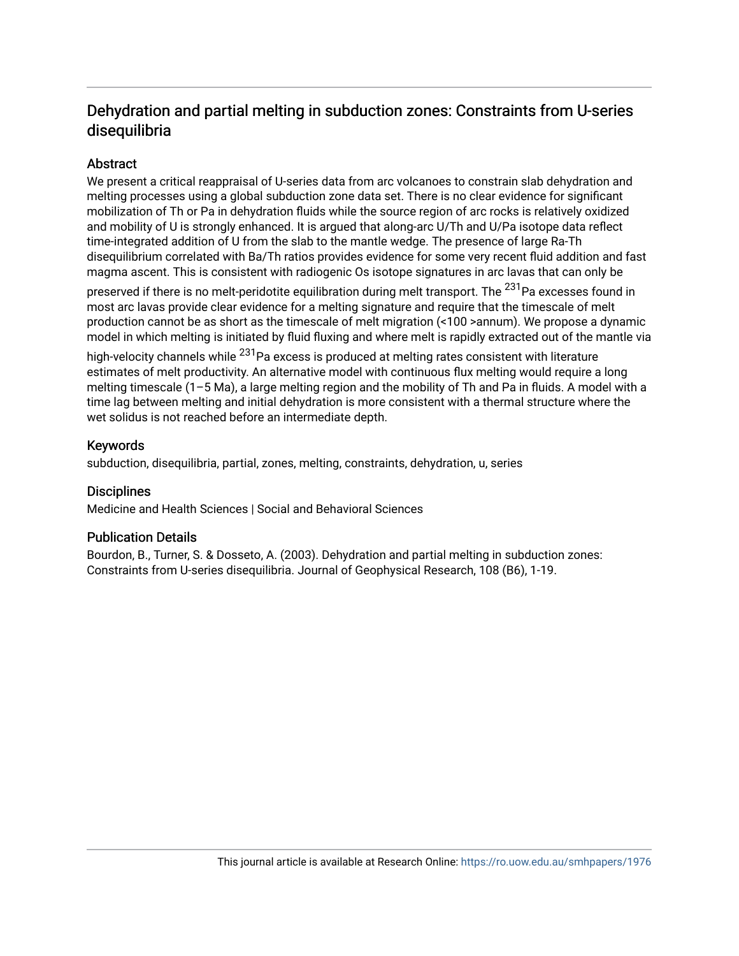# Dehydration and partial melting in subduction zones: Constraints from U-series disequilibria

# Abstract

We present a critical reappraisal of U-series data from arc volcanoes to constrain slab dehydration and melting processes using a global subduction zone data set. There is no clear evidence for significant mobilization of Th or Pa in dehydration fluids while the source region of arc rocks is relatively oxidized and mobility of U is strongly enhanced. It is argued that along-arc U/Th and U/Pa isotope data reflect time-integrated addition of U from the slab to the mantle wedge. The presence of large Ra-Th disequilibrium correlated with Ba/Th ratios provides evidence for some very recent fluid addition and fast magma ascent. This is consistent with radiogenic Os isotope signatures in arc lavas that can only be

preserved if there is no melt-peridotite equilibration during melt transport. The <sup>231</sup>Pa excesses found in most arc lavas provide clear evidence for a melting signature and require that the timescale of melt production cannot be as short as the timescale of melt migration (<100 >annum). We propose a dynamic model in which melting is initiated by fluid fluxing and where melt is rapidly extracted out of the mantle via

high-velocity channels while <sup>231</sup>Pa excess is produced at melting rates consistent with literature estimates of melt productivity. An alternative model with continuous flux melting would require a long melting timescale (1–5 Ma), a large melting region and the mobility of Th and Pa in fluids. A model with a time lag between melting and initial dehydration is more consistent with a thermal structure where the wet solidus is not reached before an intermediate depth.

## Keywords

subduction, disequilibria, partial, zones, melting, constraints, dehydration, u, series

## **Disciplines**

Medicine and Health Sciences | Social and Behavioral Sciences

## Publication Details

Bourdon, B., Turner, S. & Dosseto, A. (2003). Dehydration and partial melting in subduction zones: Constraints from U-series disequilibria. Journal of Geophysical Research, 108 (B6), 1-19.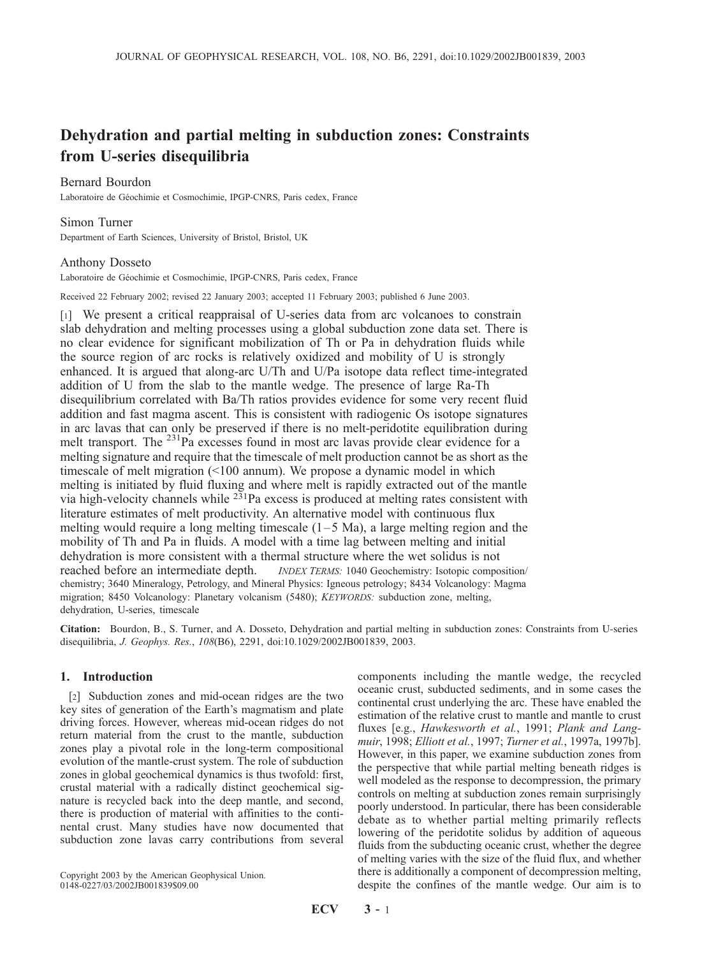# Dehydration and partial melting in subduction zones: Constraints from U-series disequilibria

#### Bernard Bourdon

Laboratoire de Géochimie et Cosmochimie, IPGP-CNRS, Paris cedex, France

#### Simon Turner

Department of Earth Sciences, University of Bristol, Bristol, UK

#### Anthony Dosseto

Laboratoire de Géochimie et Cosmochimie, IPGP-CNRS, Paris cedex, France

Received 22 February 2002; revised 22 January 2003; accepted 11 February 2003; published 6 June 2003.

[1] We present a critical reappraisal of U-series data from arc volcanoes to constrain slab dehydration and melting processes using a global subduction zone data set. There is no clear evidence for significant mobilization of Th or Pa in dehydration fluids while the source region of arc rocks is relatively oxidized and mobility of U is strongly enhanced. It is argued that along-arc U/Th and U/Pa isotope data reflect time-integrated addition of U from the slab to the mantle wedge. The presence of large Ra-Th disequilibrium correlated with Ba/Th ratios provides evidence for some very recent fluid addition and fast magma ascent. This is consistent with radiogenic Os isotope signatures in arc lavas that can only be preserved if there is no melt-peridotite equilibration during melt transport. The <sup>231</sup>Pa excesses found in most arc lavas provide clear evidence for a melting signature and require that the timescale of melt production cannot be as short as the timescale of melt migration (<100 annum). We propose a dynamic model in which melting is initiated by fluid fluxing and where melt is rapidly extracted out of the mantle via high-velocity channels while  $2\bar{3}1$ Pa excess is produced at melting rates consistent with literature estimates of melt productivity. An alternative model with continuous flux melting would require a long melting timescale  $(1-5 \text{ Ma})$ , a large melting region and the mobility of Th and Pa in fluids. A model with a time lag between melting and initial dehydration is more consistent with a thermal structure where the wet solidus is not reached before an intermediate depth. *INDEX TERMS:* 1040 Geochemistry: Isotopic composition/ chemistry; 3640 Mineralogy, Petrology, and Mineral Physics: Igneous petrology; 8434 Volcanology: Magma migration; 8450 Volcanology: Planetary volcanism (5480); KEYWORDS: subduction zone, melting, dehydration, U-series, timescale

Citation: Bourdon, B., S. Turner, and A. Dosseto, Dehydration and partial melting in subduction zones: Constraints from U-series disequilibria, J. Geophys. Res., 108(B6), 2291, doi:10.1029/2002JB001839, 2003.

### 1. Introduction

[2] Subduction zones and mid-ocean ridges are the two key sites of generation of the Earth's magmatism and plate driving forces. However, whereas mid-ocean ridges do not return material from the crust to the mantle, subduction zones play a pivotal role in the long-term compositional evolution of the mantle-crust system. The role of subduction zones in global geochemical dynamics is thus twofold: first, crustal material with a radically distinct geochemical signature is recycled back into the deep mantle, and second, there is production of material with affinities to the continental crust. Many studies have now documented that subduction zone lavas carry contributions from several

Copyright 2003 by the American Geophysical Union. 0148-0227/03/2002JB001839\$09.00

components including the mantle wedge, the recycled oceanic crust, subducted sediments, and in some cases the continental crust underlying the arc. These have enabled the estimation of the relative crust to mantle and mantle to crust fluxes [e.g., Hawkesworth et al., 1991; Plank and Langmuir, 1998; Elliott et al., 1997; Turner et al., 1997a, 1997b]. However, in this paper, we examine subduction zones from the perspective that while partial melting beneath ridges is well modeled as the response to decompression, the primary controls on melting at subduction zones remain surprisingly poorly understood. In particular, there has been considerable debate as to whether partial melting primarily reflects lowering of the peridotite solidus by addition of aqueous fluids from the subducting oceanic crust, whether the degree of melting varies with the size of the fluid flux, and whether there is additionally a component of decompression melting, despite the confines of the mantle wedge. Our aim is to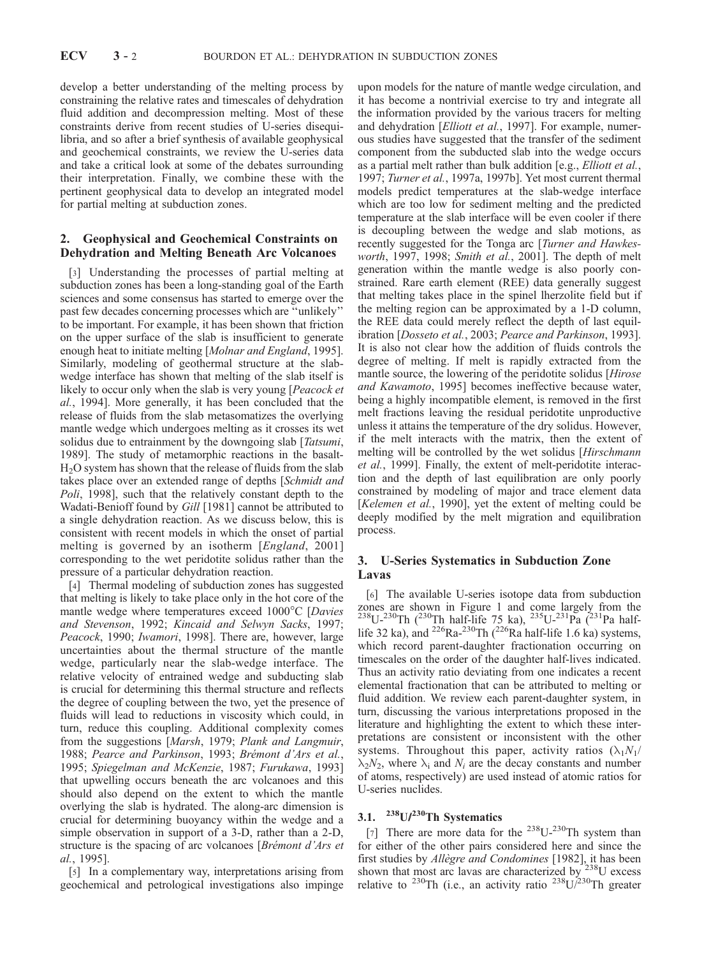develop a better understanding of the melting process by constraining the relative rates and timescales of dehydration fluid addition and decompression melting. Most of these constraints derive from recent studies of U-series disequilibria, and so after a brief synthesis of available geophysical and geochemical constraints, we review the U-series data and take a critical look at some of the debates surrounding their interpretation. Finally, we combine these with the pertinent geophysical data to develop an integrated model for partial melting at subduction zones.

### 2. Geophysical and Geochemical Constraints on Dehydration and Melting Beneath Arc Volcanoes

[3] Understanding the processes of partial melting at subduction zones has been a long-standing goal of the Earth sciences and some consensus has started to emerge over the past few decades concerning processes which are ''unlikely'' to be important. For example, it has been shown that friction on the upper surface of the slab is insufficient to generate enough heat to initiate melting [Molnar and England, 1995]. Similarly, modeling of geothermal structure at the slabwedge interface has shown that melting of the slab itself is likely to occur only when the slab is very young [Peacock et al., 1994]. More generally, it has been concluded that the release of fluids from the slab metasomatizes the overlying mantle wedge which undergoes melting as it crosses its wet solidus due to entrainment by the downgoing slab [*Tatsumi*, 1989]. The study of metamorphic reactions in the basalt-H2O system has shown that the release of fluids from the slab takes place over an extended range of depths [Schmidt and Poli, 1998], such that the relatively constant depth to the Wadati-Benioff found by Gill [1981] cannot be attributed to a single dehydration reaction. As we discuss below, this is consistent with recent models in which the onset of partial melting is governed by an isotherm [England, 2001] corresponding to the wet peridotite solidus rather than the pressure of a particular dehydration reaction.

[4] Thermal modeling of subduction zones has suggested that melting is likely to take place only in the hot core of the mantle wedge where temperatures exceed  $1000^{\circ}$ C [Davies and Stevenson, 1992; Kincaid and Selwyn Sacks, 1997; Peacock, 1990; Iwamori, 1998]. There are, however, large uncertainties about the thermal structure of the mantle wedge, particularly near the slab-wedge interface. The relative velocity of entrained wedge and subducting slab is crucial for determining this thermal structure and reflects the degree of coupling between the two, yet the presence of fluids will lead to reductions in viscosity which could, in turn, reduce this coupling. Additional complexity comes from the suggestions [Marsh, 1979; Plank and Langmuir, 1988; Pearce and Parkinson, 1993; Brémont d'Ars et al., 1995; Spiegelman and McKenzie, 1987; Furukawa, 1993] that upwelling occurs beneath the arc volcanoes and this should also depend on the extent to which the mantle overlying the slab is hydrated. The along-arc dimension is crucial for determining buoyancy within the wedge and a simple observation in support of a 3-D, rather than a 2-D, structure is the spacing of arc volcanoes [Brémont d'Ars et al., 1995].

[5] In a complementary way, interpretations arising from geochemical and petrological investigations also impinge

upon models for the nature of mantle wedge circulation, and it has become a nontrivial exercise to try and integrate all the information provided by the various tracers for melting and dehydration [Elliott et al., 1997]. For example, numerous studies have suggested that the transfer of the sediment component from the subducted slab into the wedge occurs as a partial melt rather than bulk addition [e.g., Elliott et al., 1997; Turner et al., 1997a, 1997b]. Yet most current thermal models predict temperatures at the slab-wedge interface which are too low for sediment melting and the predicted temperature at the slab interface will be even cooler if there is decoupling between the wedge and slab motions, as recently suggested for the Tonga arc [Turner and Hawkesworth, 1997, 1998; Smith et al., 2001]. The depth of melt generation within the mantle wedge is also poorly constrained. Rare earth element (REE) data generally suggest that melting takes place in the spinel lherzolite field but if the melting region can be approximated by a 1-D column, the REE data could merely reflect the depth of last equilibration [Dosseto et al., 2003; Pearce and Parkinson, 1993]. It is also not clear how the addition of fluids controls the degree of melting. If melt is rapidly extracted from the mantle source, the lowering of the peridotite solidus [Hirose and Kawamoto, 1995] becomes ineffective because water, being a highly incompatible element, is removed in the first melt fractions leaving the residual peridotite unproductive unless it attains the temperature of the dry solidus. However, if the melt interacts with the matrix, then the extent of melting will be controlled by the wet solidus [Hirschmann et al., 1999]. Finally, the extent of melt-peridotite interaction and the depth of last equilibration are only poorly constrained by modeling of major and trace element data [Kelemen et al., 1990], yet the extent of melting could be deeply modified by the melt migration and equilibration process.

#### 3. U-Series Systematics in Subduction Zone Lavas

[6] The available U-series isotope data from subduction zones are shown in Figure 1 and come largely from the  $^{238}$ U- $^{230}$ Th ( $^{230}$ Th half-life 75 ka),  $^{235}$ U- $^{231}$ Pa ( $^{231}$ Pa halflife 32 ka), and <sup>226</sup>Ra-<sup>230</sup>Th (<sup>226</sup>Ra half-life 1.6 ka) systems, which record parent-daughter fractionation occurring on timescales on the order of the daughter half-lives indicated. Thus an activity ratio deviating from one indicates a recent elemental fractionation that can be attributed to melting or fluid addition. We review each parent-daughter system, in turn, discussing the various interpretations proposed in the literature and highlighting the extent to which these interpretations are consistent or inconsistent with the other systems. Throughout this paper, activity ratios  $(\lambda_1N_1/$  $\lambda_2N_2$ , where  $\lambda_i$  and  $N_i$  are the decay constants and number of atoms, respectively) are used instead of atomic ratios for U-series nuclides.

## 3.1.  $^{238}$ U/ $^{230}$ Th Systematics

[7] There are more data for the  $^{238}U^{-230}$ Th system than for either of the other pairs considered here and since the first studies by Allègre and Condomines [1982], it has been shown that most arc lavas are characterized by  $238$ U excess relative to <sup>230</sup>Th (i.e., an activity ratio  $^{238}$ U/<sup>230</sup>Th greater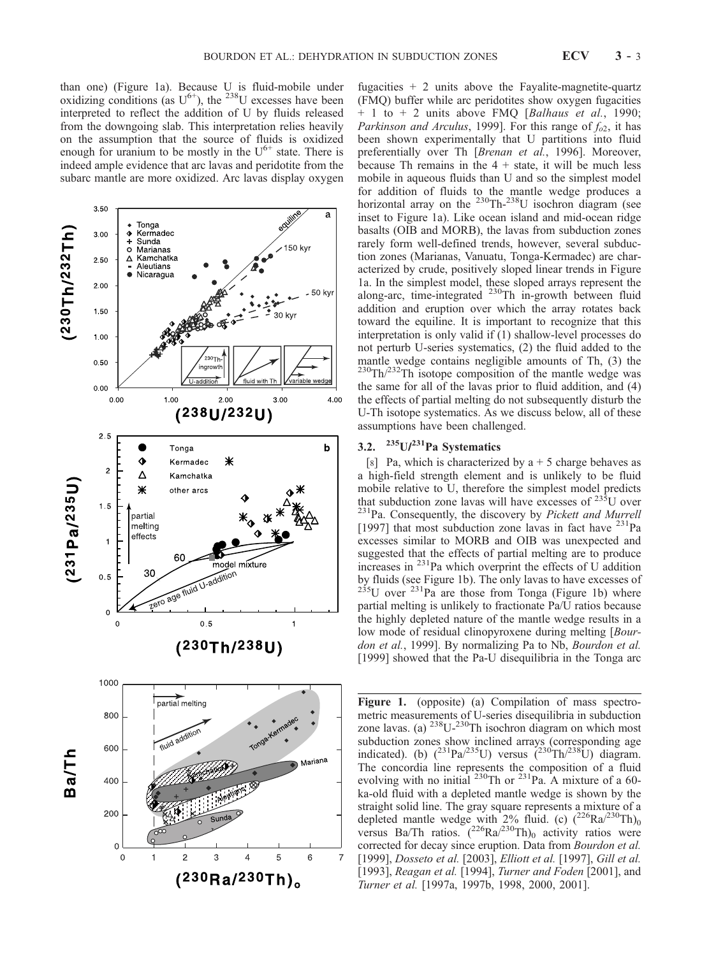than one) (Figure 1a). Because U is fluid-mobile under oxidizing conditions (as  $U^{6+}$ ), the <sup>238</sup>U excesses have been interpreted to reflect the addition of U by fluids released from the downgoing slab. This interpretation relies heavily on the assumption that the source of fluids is oxidized enough for uranium to be mostly in the  $U^{6+}$  state. There is indeed ample evidence that arc lavas and peridotite from the subarc mantle are more oxidized. Arc lavas display oxygen



fugacities  $+ 2$  units above the Fayalite-magnetite-quartz (FMQ) buffer while arc peridotites show oxygen fugacities  $+ 1$  to  $+ 2$  units above FMQ [Balhaus et al., 1990; Parkinson and Arculus, 1999]. For this range of  $f_{02}$ , it has been shown experimentally that U partitions into fluid preferentially over Th [Brenan et al., 1996]. Moreover, because Th remains in the  $4 +$  state, it will be much less mobile in aqueous fluids than U and so the simplest model for addition of fluids to the mantle wedge produces a horizontal array on the  $^{230}$ Th- $^{238}$ U isochron diagram (see inset to Figure 1a). Like ocean island and mid-ocean ridge basalts (OIB and MORB), the lavas from subduction zones rarely form well-defined trends, however, several subduction zones (Marianas, Vanuatu, Tonga-Kermadec) are characterized by crude, positively sloped linear trends in Figure 1a. In the simplest model, these sloped arrays represent the along-arc, time-integrated <sup>230</sup>Th in-growth between fluid addition and eruption over which the array rotates back toward the equiline. It is important to recognize that this interpretation is only valid if (1) shallow-level processes do not perturb U-series systematics, (2) the fluid added to the mantle wedge contains negligible amounts of Th, (3) the 230Th/232Th isotope composition of the mantle wedge was the same for all of the lavas prior to fluid addition, and (4) the effects of partial melting do not subsequently disturb the U-Th isotope systematics. As we discuss below, all of these assumptions have been challenged.

# 3.2.  $235U/231$ Pa Systematics

[8] Pa, which is characterized by  $a + 5$  charge behaves as a high-field strength element and is unlikely to be fluid mobile relative to U, therefore the simplest model predicts that subduction zone lavas will have excesses of  $235U$  over  $^{231}$ Pa. Consequently, the discovery by *Pickett and Murrell* [1997] that most subduction zone lavas in fact have  $^{231}$ Pa excesses similar to MORB and OIB was unexpected and suggested that the effects of partial melting are to produce increases in  $^{231}$ Pa which overprint the effects of U addition by fluids (see Figure 1b). The only lavas to have excesses of  $235U$  over  $231Pa$  are those from Tonga (Figure 1b) where partial melting is unlikely to fractionate Pa/U ratios because the highly depleted nature of the mantle wedge results in a low mode of residual clinopyroxene during melting [Bourdon et al., 1999]. By normalizing Pa to Nb, Bourdon et al. [1999] showed that the Pa-U disequilibria in the Tonga arc

Figure 1. (opposite) (a) Compilation of mass spectrometric measurements of U-series disequilibria in subduction zone lavas. (a)  $^{238}U^{-230}$ Th isochron diagram on which most subduction zones show inclined arrays (corresponding age indicated). (b)  $(^{231}Pa/^{235}U)$  versus  $(^{230}Th/^{238}U)$  diagram. The concordia line represents the composition of a fluid evolving with no initial  $^{230}$ Th or  $^{231}$ Pa. A mixture of a 60ka-old fluid with a depleted mantle wedge is shown by the straight solid line. The gray square represents a mixture of a depleted mantle wedge with 2% fluid. (c)  $(^{226}Ra^{230}Th)_0$ versus Ba/Th ratios.  $(^{226}Ra^{230}Th)_0$  activity ratios were corrected for decay since eruption. Data from Bourdon et al. [1999], *Dosseto et al.* [2003], *Elliott et al.* [1997], *Gill et al.* [1993], Reagan et al. [1994], Turner and Foden [2001], and Turner et al. [1997a, 1997b, 1998, 2000, 2001].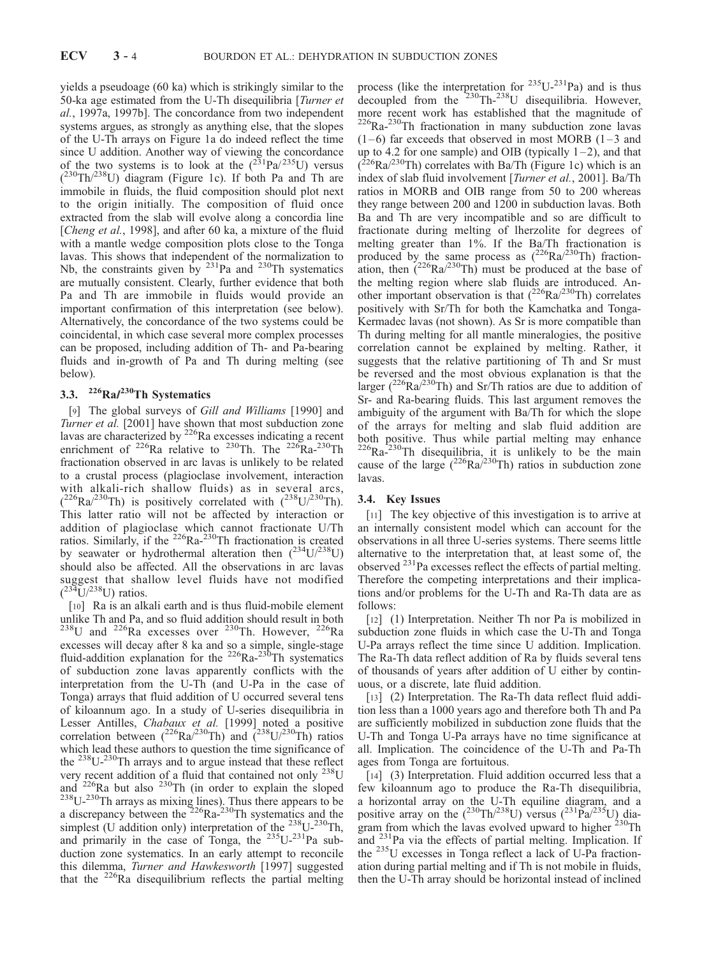yields a pseudoage (60 ka) which is strikingly similar to the 50-ka age estimated from the U-Th disequilibria [Turner et al., 1997a, 1997b]. The concordance from two independent systems argues, as strongly as anything else, that the slopes of the U-Th arrays on Figure 1a do indeed reflect the time since U addition. Another way of viewing the concordance of the two systems is to look at the  $(^{231}Pa/^{235}U)$  versus  $(^{230}Th/^{238}U)$  diagram (Figure 1c). If both Pa and Th are immobile in fluids, the fluid composition should plot next to the origin initially. The composition of fluid once extracted from the slab will evolve along a concordia line [Cheng et al., 1998], and after 60 ka, a mixture of the fluid with a mantle wedge composition plots close to the Tonga lavas. This shows that independent of the normalization to Nb, the constraints given by  $^{231}$ Pa and  $^{230}$ Th systematics are mutually consistent. Clearly, further evidence that both Pa and Th are immobile in fluids would provide an important confirmation of this interpretation (see below). Alternatively, the concordance of the two systems could be coincidental, in which case several more complex processes can be proposed, including addition of Th- and Pa-bearing fluids and in-growth of Pa and Th during melting (see below).

## 3.3.  $226Ra/230Th$  Systematics

[9] The global surveys of Gill and Williams [1990] and Turner et al. [2001] have shown that most subduction zone lavas are characterized by  $^{226}$ Ra excesses indicating a recent enrichment of <sup>226</sup>Ra relative to <sup>230</sup>Th. The <sup>226</sup>Ra-<sup>230</sup>Th fractionation observed in arc lavas is unlikely to be related to a crustal process (plagioclase involvement, interaction with alkali-rich shallow fluids) as in several arcs,  $(^{226}Ra^{230}Th)$  is positively correlated with  $(^{238}U^{230}Th)$ . This latter ratio will not be affected by interaction or addition of plagioclase which cannot fractionate U/Th ratios. Similarly, if the  $^{226}$ Ra- $^{230}$ Th fractionation is created by seawater or hydrothermal alteration then  $(^{234}U/^{238}U)$ should also be affected. All the observations in arc lavas suggest that shallow level fluids have not modified  $(^{234}U/^{238}U)$  ratios.

[10] Ra is an alkali earth and is thus fluid-mobile element unlike Th and Pa, and so fluid addition should result in both  $^{238}$ U and  $^{226}$ Ra excesses over  $^{230}$ Th. However,  $^{226}$ Ra excesses will decay after 8 ka and so a simple, single-stage fluid-addition explanation for the  $^{226}Ra^{-230}Th$  systematics of subduction zone lavas apparently conflicts with the interpretation from the U-Th (and U-Pa in the case of Tonga) arrays that fluid addition of U occurred several tens of kiloannum ago. In a study of U-series disequilibria in Lesser Antilles, Chabaux et al. [1999] noted a positive correlation between  $({}^{226}Ra/{}^{230}Th)$  and  $({}^{238}U/{}^{230}Th)$  ratios which lead these authors to question the time significance of the  $^{238}U^{-230}$ Th arrays and to argue instead that these reflect very recent addition of a fluid that contained not only  $^{238}$ U and <sup>226</sup>Ra but also <sup>230</sup>Th (in order to explain the sloped  $^{238}U^{-230}$ Th arrays as mixing lines). Thus there appears to be a discrepancy between the  $226Ra^{-230}$ Th systematics and the simplest (U addition only) interpretation of the  $^{238}U^{-230}Th$ , and primarily in the case of Tonga, the  $235U^{-231}$ Pa subduction zone systematics. In an early attempt to reconcile this dilemma, Turner and Hawkesworth [1997] suggested that the 226Ra disequilibrium reflects the partial melting

process (like the interpretation for  $235U^{-231}Pa$ ) and is thus decoupled from the  $230$ Th- $238$ U disequilibria. However, more recent work has established that the magnitude of  $226Ra - 230Th$  fractionation in many subduction zone lavas  $(1-6)$  far exceeds that observed in most MORB  $(1-3)$  and up to 4.2 for one sample) and OIB (typically  $1-2$ ), and that  $(226Ra)^{230}$ Th) correlates with Ba/Th (Figure 1c) which is an index of slab fluid involvement [Turner et al., 2001]. Ba/Th ratios in MORB and OIB range from 50 to 200 whereas they range between 200 and 1200 in subduction lavas. Both Ba and Th are very incompatible and so are difficult to fractionate during melting of lherzolite for degrees of melting greater than 1%. If the Ba/Th fractionation is produced by the same process as  $(^{226}Ra)^{230}Th$ ) fractionation, then  $(^{226}Ra)^{230}Th$  must be produced at the base of the melting region where slab fluids are introduced. Another important observation is that  $(^{226}Ra)^{230}Th$ ) correlates positively with Sr/Th for both the Kamchatka and Tonga-Kermadec lavas (not shown). As Sr is more compatible than Th during melting for all mantle mineralogies, the positive correlation cannot be explained by melting. Rather, it suggests that the relative partitioning of Th and Sr must be reversed and the most obvious explanation is that the larger ( $^{226}Ra^{/230}Th$ ) and Sr/Th ratios are due to addition of Sr- and Ra-bearing fluids. This last argument removes the ambiguity of the argument with Ba/Th for which the slope of the arrays for melting and slab fluid addition are both positive. Thus while partial melting may enhance  $226Ra^{-230}$ Th disequilibria, it is unlikely to be the main cause of the large  $(^{226}Ra/^{230}Th)$  ratios in subduction zone lavas.

### 3.4. Key Issues

[11] The key objective of this investigation is to arrive at an internally consistent model which can account for the observations in all three U-series systems. There seems little alternative to the interpretation that, at least some of, the observed 231Pa excesses reflect the effects of partial melting. Therefore the competing interpretations and their implications and/or problems for the U-Th and Ra-Th data are as follows:

[12] (1) Interpretation. Neither Th nor Pa is mobilized in subduction zone fluids in which case the U-Th and Tonga U-Pa arrays reflect the time since U addition. Implication. The Ra-Th data reflect addition of Ra by fluids several tens of thousands of years after addition of U either by continuous, or a discrete, late fluid addition.

[13] (2) Interpretation. The Ra-Th data reflect fluid addition less than a 1000 years ago and therefore both Th and Pa are sufficiently mobilized in subduction zone fluids that the U-Th and Tonga U-Pa arrays have no time significance at all. Implication. The coincidence of the U-Th and Pa-Th ages from Tonga are fortuitous.

[14] (3) Interpretation. Fluid addition occurred less that a few kiloannum ago to produce the Ra-Th disequilibria, a horizontal array on the U-Th equiline diagram, and a positive array on the  $(^{230}Th/^{238}U)$  versus  $(^{231}Pa/^{235}U)$  diagram from which the lavas evolved upward to higher <sup>230</sup>Th and <sup>231</sup>Pa via the effects of partial melting. Implication. If the 235U excesses in Tonga reflect a lack of U-Pa fractionation during partial melting and if Th is not mobile in fluids, then the U-Th array should be horizontal instead of inclined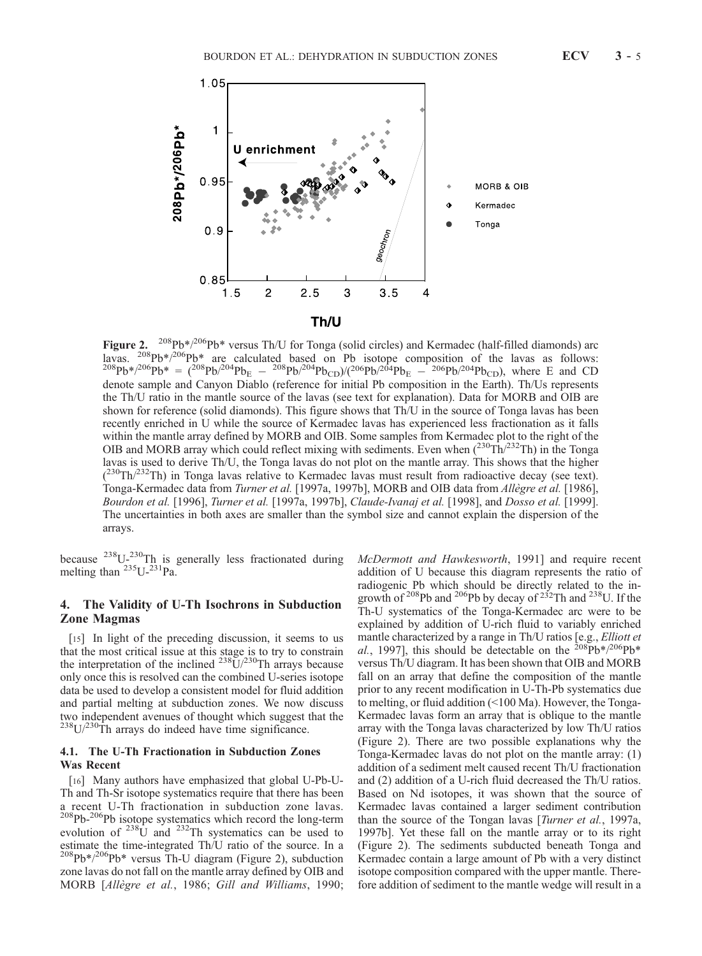

Figure 2. <sup>208</sup>Pb<sup>\*</sup>/<sup>206</sup>Pb<sup>\*</sup> versus Th/U for Tonga (solid circles) and Kermadec (half-filled diamonds) arc lavas.  ${}^{208}Pb*/{}^{206}Pb*$  are calculated based on Pb isotope composition of the lavas as follows:<br> ${}^{208}Pb*/{}^{206}Pb* = ({}^{208}Pb/{}^{204}Pb_E - {}^{208}Pb/{}^{204}Pb_{CD})/({}^{206}Pb/{}^{204}Pb_E - {}^{206}Pb/{}^{204}Pb_{CD})$ , where E and CD denote sample and Canyon Diablo (reference for initial Pb composition in the Earth). Th/Us represents the Th/U ratio in the mantle source of the lavas (see text for explanation). Data for MORB and OIB are shown for reference (solid diamonds). This figure shows that Th/U in the source of Tonga lavas has been recently enriched in U while the source of Kermadec lavas has experienced less fractionation as it falls within the mantle array defined by MORB and OIB. Some samples from Kermadec plot to the right of the OIB and MORB array which could reflect mixing with sediments. Even when  $(^{230}Th/^{232}Th)$  in the Tonga lavas is used to derive Th/U, the Tonga lavas do not plot on the mantle array. This shows that the higher (<sup>230</sup>Th/<sup>232</sup>Th) in Tonga lavas relative to Kermadec lavas must result from radioactive decay (see text). Tonga-Kermadec data from Turner et al. [1997a, 1997b], MORB and OIB data from Allègre et al. [1986], Bourdon et al. [1996], Turner et al. [1997a, 1997b], Claude-Ivanaj et al. [1998], and Dosso et al. [1999]. The uncertainties in both axes are smaller than the symbol size and cannot explain the dispersion of the arrays.

because  $^{238}U^{-230}$ Th is generally less fractionated during melting than  $^{235}U^{-231}Pa$ .

#### 4. The Validity of U-Th Isochrons in Subduction Zone Magmas

[15] In light of the preceding discussion, it seems to us that the most critical issue at this stage is to try to constrain the interpretation of the inclined  $^{238}U/^{230}$ Th arrays because only once this is resolved can the combined U-series isotope data be used to develop a consistent model for fluid addition and partial melting at subduction zones. We now discuss two independent avenues of thought which suggest that the  $^{238}$ U/<sup>230</sup>Th arrays do indeed have time significance.

#### 4.1. The U-Th Fractionation in Subduction Zones Was Recent

[16] Many authors have emphasized that global U-Pb-U-Th and Th-Sr isotope systematics require that there has been a recent U-Th fractionation in subduction zone lavas. <sup>208</sup>Pb-<sup>206</sup>Pb isotope systematics which record the long-term evolution of  $^{238}$ U and  $^{232}$ Th systematics can be used to estimate the time-integrated Th/U ratio of the source. In a  $208\text{Pb}*/206\text{Pb}*$  versus Th-U diagram (Figure 2), subduction zone lavas do not fall on the mantle array defined by OIB and MORB [Allègre et al., 1986; Gill and Williams, 1990; McDermott and Hawkesworth, 1991] and require recent addition of U because this diagram represents the ratio of radiogenic Pb which should be directly related to the ingrowth of 208Pb and 206Pb by decay of 232Th and 238U. If the Th-U systematics of the Tonga-Kermadec arc were to be explained by addition of U-rich fluid to variably enriched mantle characterized by a range in Th/U ratios [e.g., Elliott et al., 1997], this should be detectable on the  $208Pb*/206Pb*$ versus Th/U diagram. It has been shown that OIB and MORB fall on an array that define the composition of the mantle prior to any recent modification in U-Th-Pb systematics due to melting, or fluid addition (<100 Ma). However, the Tonga-Kermadec lavas form an array that is oblique to the mantle array with the Tonga lavas characterized by low Th/U ratios (Figure 2). There are two possible explanations why the Tonga-Kermadec lavas do not plot on the mantle array: (1) addition of a sediment melt caused recent Th/U fractionation and (2) addition of a U-rich fluid decreased the Th/U ratios. Based on Nd isotopes, it was shown that the source of Kermadec lavas contained a larger sediment contribution than the source of the Tongan lavas [Turner et al., 1997a, 1997b]. Yet these fall on the mantle array or to its right (Figure 2). The sediments subducted beneath Tonga and Kermadec contain a large amount of Pb with a very distinct isotope composition compared with the upper mantle. Therefore addition of sediment to the mantle wedge will result in a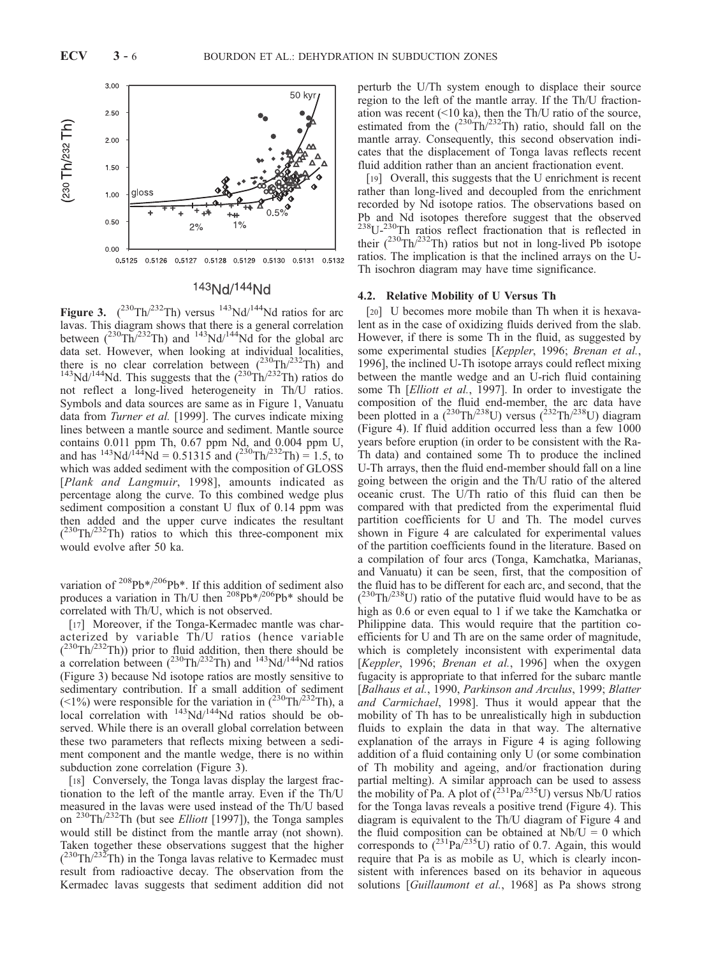

### 143Nd/144Nd

Figure 3.  $(^{230} \text{Th}/^{232} \text{Th})$  versus  $^{143} \text{Nd}/^{144} \text{Nd}$  ratios for arc lavas. This diagram shows that there is a general correlation between  $(^{230}Th/^{232}Th)$  and  $^{143}Nd/^{144}Nd$  for the global arc data set. However, when looking at individual localities, there is no clear correlation between  $(^{230}Th/^{232}Th)$  and  $^{143}Nd/^{144}Nd$ . This suggests that the  $(^{230}Th/^{232}Th)$  ratios do not reflect a long-lived heterogeneity in Th/U ratios. Symbols and data sources are same as in Figure 1, Vanuatu data from *Turner et al.* [1999]. The curves indicate mixing lines between a mantle source and sediment. Mantle source contains 0.011 ppm Th, 0.67 ppm Nd, and 0.004 ppm U, and has  $^{143}Nd^{144}Nd = 0.51315$  and  $(^{230}Th^{232}Th) = 1.5$ , to which was added sediment with the composition of GLOSS [Plank and Langmuir, 1998], amounts indicated as percentage along the curve. To this combined wedge plus sediment composition a constant U flux of 0.14 ppm was then added and the upper curve indicates the resultant  $(^{230}Th/^{232}Th)$  ratios to which this three-component mix would evolve after 50 ka.

variation of  $208Pb*/206Pb*$ . If this addition of sediment also produces a variation in Th/U then  $^{208}Pb*/^{206}Pb*$  should be correlated with Th/U, which is not observed.

[17] Moreover, if the Tonga-Kermadec mantle was characterized by variable Th/U ratios (hence variable  $(230 \text{Th}/232 \text{Th})$ ) prior to fluid addition, then there should be a correlation between  $({}^{230}\text{Th}/^{232}\text{Th})$  and  ${}^{143}\text{Nd}/{}^{144}\text{Nd}$  ratios (Figure 3) because Nd isotope ratios are mostly sensitive to sedimentary contribution. If a small addition of sediment (<1%) were responsible for the variation in  $(^{230}Th/^{232}Th)$ , a local correlation with  $143\text{Nd}/144\text{Nd}$  ratios should be observed. While there is an overall global correlation between these two parameters that reflects mixing between a sediment component and the mantle wedge, there is no within subduction zone correlation (Figure 3).

[18] Conversely, the Tonga lavas display the largest fractionation to the left of the mantle array. Even if the Th/U measured in the lavas were used instead of the Th/U based on  $^{230}$ Th/ $^{232}$ Th (but see *Elliott* [1997]), the Tonga samples would still be distinct from the mantle array (not shown). Taken together these observations suggest that the higher  $(230 \text{Th}/232 \text{Th})$  in the Tonga lavas relative to Kermadec must result from radioactive decay. The observation from the Kermadec lavas suggests that sediment addition did not perturb the U/Th system enough to displace their source region to the left of the mantle array. If the Th/U fractionation was recent (<10 ka), then the Th/U ratio of the source, estimated from the  $(^{230}Th/^{232}Th)$  ratio, should fall on the mantle array. Consequently, this second observation indicates that the displacement of Tonga lavas reflects recent fluid addition rather than an ancient fractionation event.

[19] Overall, this suggests that the U enrichment is recent rather than long-lived and decoupled from the enrichment recorded by Nd isotope ratios. The observations based on Pb and Nd isotopes therefore suggest that the observed  $^{238}U^{-230}$ Th ratios reflect fractionation that is reflected in their  $(^{230}Th/^{232}Th)$  ratios but not in long-lived Pb isotope ratios. The implication is that the inclined arrays on the U-Th isochron diagram may have time significance.

#### 4.2. Relative Mobility of U Versus Th

[20] U becomes more mobile than Th when it is hexavalent as in the case of oxidizing fluids derived from the slab. However, if there is some Th in the fluid, as suggested by some experimental studies [Keppler, 1996; Brenan et al., 1996], the inclined U-Th isotope arrays could reflect mixing between the mantle wedge and an U-rich fluid containing some Th [Elliott et al., 1997]. In order to investigate the composition of the fluid end-member, the arc data have been plotted in a  $(^{230}Th/^{238}U)$  versus  $(^{232}Th/^{238}U)$  diagram (Figure 4). If fluid addition occurred less than a few 1000 years before eruption (in order to be consistent with the Ra-Th data) and contained some Th to produce the inclined U-Th arrays, then the fluid end-member should fall on a line going between the origin and the Th/U ratio of the altered oceanic crust. The U/Th ratio of this fluid can then be compared with that predicted from the experimental fluid partition coefficients for U and Th. The model curves shown in Figure 4 are calculated for experimental values of the partition coefficients found in the literature. Based on a compilation of four arcs (Tonga, Kamchatka, Marianas, and Vanuatu) it can be seen, first, that the composition of the fluid has to be different for each arc, and second, that the  $(^{230}Th/^{238}U)$  ratio of the putative fluid would have to be as high as 0.6 or even equal to 1 if we take the Kamchatka or Philippine data. This would require that the partition coefficients for U and Th are on the same order of magnitude, which is completely inconsistent with experimental data [Keppler, 1996; Brenan et al., 1996] when the oxygen fugacity is appropriate to that inferred for the subarc mantle [Balhaus et al., 1990, Parkinson and Arculus, 1999; Blatter and Carmichael, 1998]. Thus it would appear that the mobility of Th has to be unrealistically high in subduction fluids to explain the data in that way. The alternative explanation of the arrays in Figure 4 is aging following addition of a fluid containing only U (or some combination of Th mobility and ageing, and/or fractionation during partial melting). A similar approach can be used to assess the mobility of Pa. A plot of  $\overline{(^{231}Pa^{235}U)}$  versus Nb/U ratios for the Tonga lavas reveals a positive trend (Figure 4). This diagram is equivalent to the Th/U diagram of Figure 4 and the fluid composition can be obtained at  $Nb/U = 0$  which corresponds to  $(^{231}Pa/^{235}U)$  ratio of 0.7. Again, this would require that Pa is as mobile as U, which is clearly inconsistent with inferences based on its behavior in aqueous solutions [Guillaumont et al., 1968] as Pa shows strong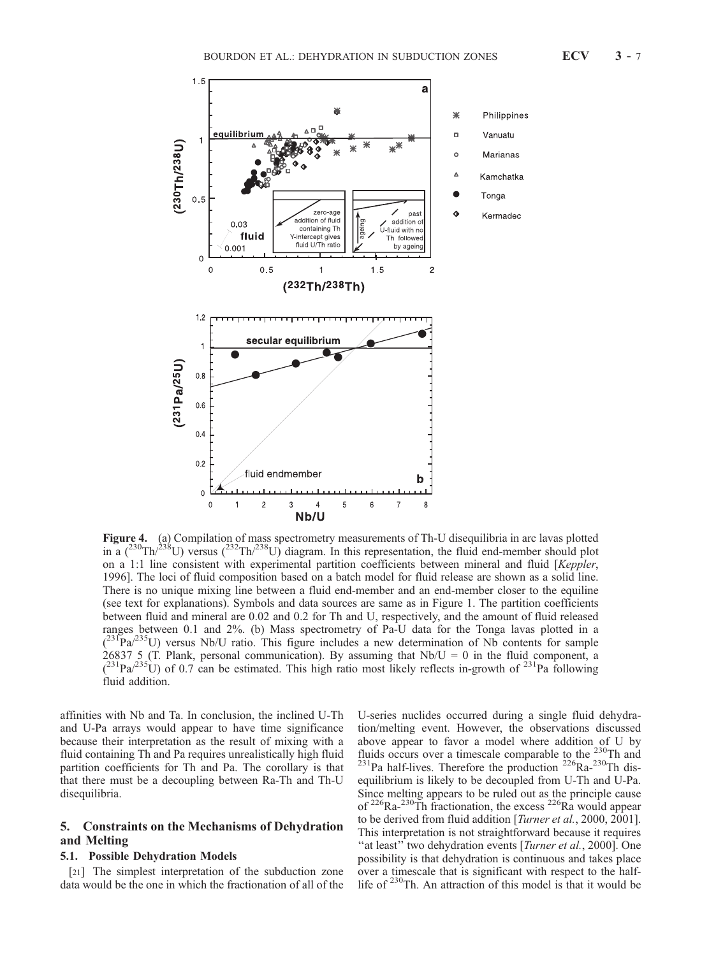

Figure 4. (a) Compilation of mass spectrometry measurements of Th-U disequilibria in arc lavas plotted in a  $(^{230}Th)^{238}$ U) versus  $(^{232}Th)^{238}$ U) diagram. In this representation, the fluid end-member should plot on a 1:1 line consistent with experimental partition coefficients between mineral and fluid [Keppler, 1996]. The loci of fluid composition based on a batch model for fluid release are shown as a solid line. There is no unique mixing line between a fluid end-member and an end-member closer to the equiline (see text for explanations). Symbols and data sources are same as in Figure 1. The partition coefficients between fluid and mineral are 0.02 and 0.2 for Th and U, respectively, and the amount of fluid released ranges between 0.1 and 2%. (b) Mass spectrometry of Pa-U data for the Tonga lavas plotted in a  $(231\text{Pa}/235\text{U})$  versus Nb/U ratio. This figure includes a new determination of Nb contents for sample 26837 5 (T. Plank, personal communication). By assuming that  $Nb/U = 0$  in the fluid component, a  $(2^{31}Pa^{235}U)$  of 0.7 can be estimated. This high ratio most likely reflects in-growth of  $^{231}Pa$  following fluid addition.

affinities with Nb and Ta. In conclusion, the inclined U-Th and U-Pa arrays would appear to have time significance because their interpretation as the result of mixing with a fluid containing Th and Pa requires unrealistically high fluid partition coefficients for Th and Pa. The corollary is that that there must be a decoupling between Ra-Th and Th-U disequilibria.

#### 5. Constraints on the Mechanisms of Dehydration and Melting

### 5.1. Possible Dehydration Models

[21] The simplest interpretation of the subduction zone data would be the one in which the fractionation of all of the

U-series nuclides occurred during a single fluid dehydration/melting event. However, the observations discussed above appear to favor a model where addition of U by fluids occurs over a timescale comparable to the <sup>230</sup>Th and  $^{231}$ Pa half-lives. Therefore the production  $^{226}$ Ra- $^{230}$ Th disequilibrium is likely to be decoupled from U-Th and U-Pa. Since melting appears to be ruled out as the principle cause of  $^{226}$ Ra- $^{230}$ Th fractionation, the excess  $^{226}$ Ra would appear to be derived from fluid addition [*Turner et al.*, 2000, 2001]. This interpretation is not straightforward because it requires "at least" two dehydration events [Turner et al., 2000]. One possibility is that dehydration is continuous and takes place over a timescale that is significant with respect to the halflife of <sup>230</sup>Th. An attraction of this model is that it would be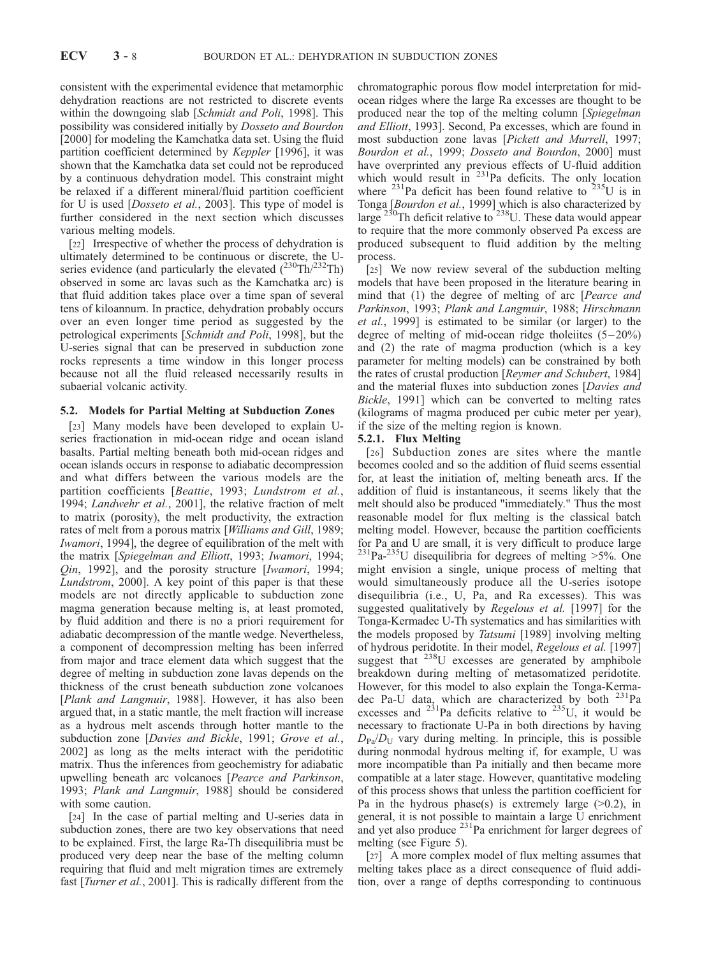consistent with the experimental evidence that metamorphic dehydration reactions are not restricted to discrete events within the downgoing slab [Schmidt and Poli, 1998]. This possibility was considered initially by Dosseto and Bourdon [2000] for modeling the Kamchatka data set. Using the fluid partition coefficient determined by Keppler [1996], it was shown that the Kamchatka data set could not be reproduced by a continuous dehydration model. This constraint might be relaxed if a different mineral/fluid partition coefficient for U is used [Dosseto et al., 2003]. This type of model is further considered in the next section which discusses various melting models.

[22] Irrespective of whether the process of dehydration is ultimately determined to be continuous or discrete, the Useries evidence (and particularly the elevated  $(^{230}Th/^{232}Th)$ observed in some arc lavas such as the Kamchatka arc) is that fluid addition takes place over a time span of several tens of kiloannum. In practice, dehydration probably occurs over an even longer time period as suggested by the petrological experiments [Schmidt and Poli, 1998], but the U-series signal that can be preserved in subduction zone rocks represents a time window in this longer process because not all the fluid released necessarily results in subaerial volcanic activity.

#### 5.2. Models for Partial Melting at Subduction Zones

[23] Many models have been developed to explain Useries fractionation in mid-ocean ridge and ocean island basalts. Partial melting beneath both mid-ocean ridges and ocean islands occurs in response to adiabatic decompression and what differs between the various models are the partition coefficients [Beattie, 1993; Lundstrom et al., 1994; Landwehr et al., 2001], the relative fraction of melt to matrix (porosity), the melt productivity, the extraction rates of melt from a porous matrix [Williams and Gill, 1989; Iwamori, 1994], the degree of equilibration of the melt with the matrix [Spiegelman and Elliott, 1993; Iwamori, 1994; Qin, 1992], and the porosity structure [Iwamori, 1994; Lundstrom, 2000]. A key point of this paper is that these models are not directly applicable to subduction zone magma generation because melting is, at least promoted, by fluid addition and there is no a priori requirement for adiabatic decompression of the mantle wedge. Nevertheless, a component of decompression melting has been inferred from major and trace element data which suggest that the degree of melting in subduction zone lavas depends on the thickness of the crust beneath subduction zone volcanoes [Plank and Langmuir, 1988]. However, it has also been argued that, in a static mantle, the melt fraction will increase as a hydrous melt ascends through hotter mantle to the subduction zone [Davies and Bickle, 1991; Grove et al., 2002] as long as the melts interact with the peridotitic matrix. Thus the inferences from geochemistry for adiabatic upwelling beneath arc volcanoes [Pearce and Parkinson, 1993; Plank and Langmuir, 1988] should be considered with some caution.

[24] In the case of partial melting and U-series data in subduction zones, there are two key observations that need to be explained. First, the large Ra-Th disequilibria must be produced very deep near the base of the melting column requiring that fluid and melt migration times are extremely fast [*Turner et al.*, 2001]. This is radically different from the chromatographic porous flow model interpretation for midocean ridges where the large Ra excesses are thought to be produced near the top of the melting column [Spiegelman and Elliott, 1993]. Second, Pa excesses, which are found in most subduction zone lavas [Pickett and Murrell, 1997; Bourdon et al., 1999; Dosseto and Bourdon, 2000] must have overprinted any previous effects of U-fluid addition which would result in <sup>231</sup>Pa deficits. The only location where  $^{231}$ Pa deficit has been found relative to  $^{235}$ U is in Tonga [Bourdon et al., 1999] which is also characterized by large  $^{230}$ Th deficit relative to  $^{238}$ U. These data would appear to require that the more commonly observed Pa excess are produced subsequent to fluid addition by the melting process.

[25] We now review several of the subduction melting models that have been proposed in the literature bearing in mind that (1) the degree of melting of arc [*Pearce and* Parkinson, 1993; Plank and Langmuir, 1988; Hirschmann et al., 1999] is estimated to be similar (or larger) to the degree of melting of mid-ocean ridge tholeiites  $(5-20\%)$ and (2) the rate of magma production (which is a key parameter for melting models) can be constrained by both the rates of crustal production [Reymer and Schubert, 1984] and the material fluxes into subduction zones [Davies and Bickle, 1991] which can be converted to melting rates (kilograms of magma produced per cubic meter per year), if the size of the melting region is known.

#### 5.2.1. Flux Melting

[26] Subduction zones are sites where the mantle becomes cooled and so the addition of fluid seems essential for, at least the initiation of, melting beneath arcs. If the addition of fluid is instantaneous, it seems likely that the melt should also be produced "immediately." Thus the most reasonable model for flux melting is the classical batch melting model. However, because the partition coefficients for Pa and U are small, it is very difficult to produce large  $^{231}$ Pa- $^{235}$ U disequilibria for degrees of melting >5%. One might envision a single, unique process of melting that would simultaneously produce all the U-series isotope disequilibria (i.e., U, Pa, and Ra excesses). This was suggested qualitatively by *Regelous et al.* [1997] for the Tonga-Kermadec U-Th systematics and has similarities with the models proposed by Tatsumi [1989] involving melting of hydrous peridotite. In their model, Regelous et al. [1997] suggest that <sup>238</sup>U excesses are generated by amphibole breakdown during melting of metasomatized peridotite. However, for this model to also explain the Tonga-Kermadec Pa-U data, which are characterized by both  $^{231}$ Pa excesses and  $^{231}$ Pa deficits relative to  $^{235}$ U, it would be necessary to fractionate U-Pa in both directions by having  $D_{Pa}/D_{U}$  vary during melting. In principle, this is possible during nonmodal hydrous melting if, for example, U was more incompatible than Pa initially and then became more compatible at a later stage. However, quantitative modeling of this process shows that unless the partition coefficient for Pa in the hydrous phase(s) is extremely large  $(>0.2)$ , in general, it is not possible to maintain a large U enrichment and yet also produce  $^{231}$ Pa enrichment for larger degrees of melting (see Figure 5).

[27] A more complex model of flux melting assumes that melting takes place as a direct consequence of fluid addition, over a range of depths corresponding to continuous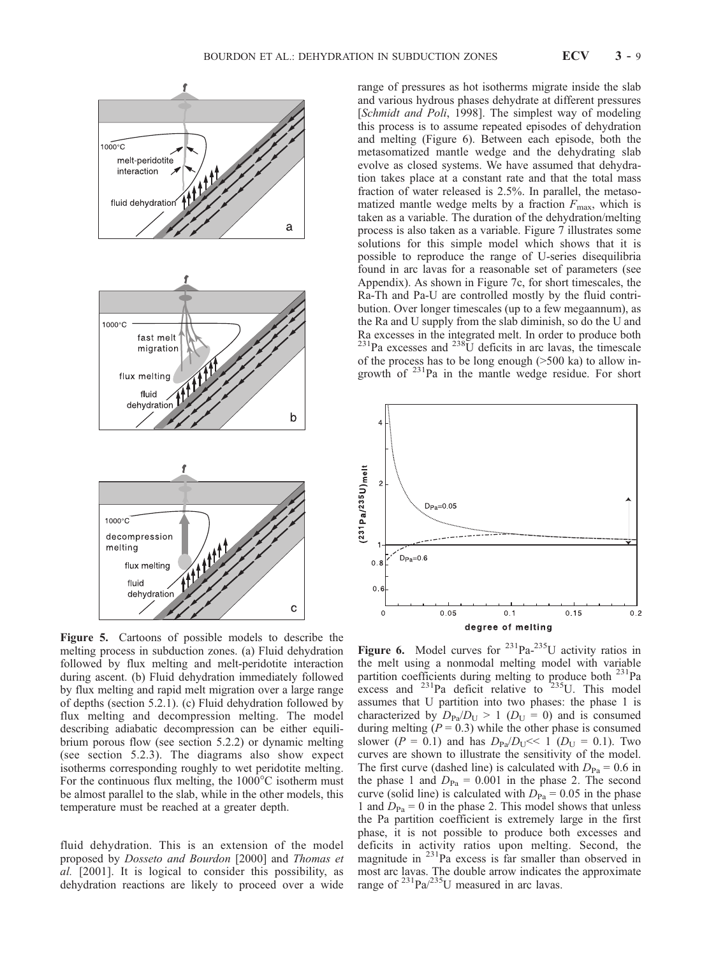

Figure 5. Cartoons of possible models to describe the melting process in subduction zones. (a) Fluid dehydration followed by flux melting and melt-peridotite interaction during ascent. (b) Fluid dehydration immediately followed by flux melting and rapid melt migration over a large range of depths (section 5.2.1). (c) Fluid dehydration followed by flux melting and decompression melting. The model describing adiabatic decompression can be either equilibrium porous flow (see section 5.2.2) or dynamic melting (see section 5.2.3). The diagrams also show expect isotherms corresponding roughly to wet peridotite melting. For the continuous flux melting, the  $1000^{\circ}$ C isotherm must be almost parallel to the slab, while in the other models, this temperature must be reached at a greater depth.

fluid dehydration. This is an extension of the model proposed by Dosseto and Bourdon [2000] and Thomas et al. [2001]. It is logical to consider this possibility, as dehydration reactions are likely to proceed over a wide range of pressures as hot isotherms migrate inside the slab and various hydrous phases dehydrate at different pressures [Schmidt and Poli, 1998]. The simplest way of modeling this process is to assume repeated episodes of dehydration and melting (Figure 6). Between each episode, both the metasomatized mantle wedge and the dehydrating slab evolve as closed systems. We have assumed that dehydration takes place at a constant rate and that the total mass fraction of water released is 2.5%. In parallel, the metasomatized mantle wedge melts by a fraction  $F_{\text{max}}$ , which is taken as a variable. The duration of the dehydration/melting process is also taken as a variable. Figure 7 illustrates some solutions for this simple model which shows that it is possible to reproduce the range of U-series disequilibria found in arc lavas for a reasonable set of parameters (see Appendix). As shown in Figure 7c, for short timescales, the Ra-Th and Pa-U are controlled mostly by the fluid contribution. Over longer timescales (up to a few megaannum), as the Ra and U supply from the slab diminish, so do the U and Ra excesses in the integrated melt. In order to produce both  $^{231}$ Pa excesses and  $^{238}$ U deficits in arc lavas, the timescale of the process has to be long enough (>500 ka) to allow ingrowth of  $231$ Pa in the mantle wedge residue. For short



Figure 6. Model curves for  $231\text{Pa} - 235\text{U}$  activity ratios in the melt using a nonmodal melting model with variable partition coefficients during melting to produce both <sup>231</sup>Pa excess and  $^{231}$ Pa deficit relative to  $^{235}$ U. This model assumes that U partition into two phases: the phase 1 is characterized by  $D_{Pa}/D_{U} > 1$  ( $D_{U} = 0$ ) and is consumed during melting  $(P = 0.3)$  while the other phase is consumed slower ( $P = 0.1$ ) and has  $D_{Pa}/D_{U} \ll 1$  ( $D_{U} = 0.1$ ). Two curves are shown to illustrate the sensitivity of the model. The first curve (dashed line) is calculated with  $D_{Pa} = 0.6$  in the phase 1 and  $D_{Pa} = 0.001$  in the phase 2. The second curve (solid line) is calculated with  $D_{Pa} = 0.05$  in the phase 1 and  $D_{Pa} = 0$  in the phase 2. This model shows that unless the Pa partition coefficient is extremely large in the first phase, it is not possible to produce both excesses and deficits in activity ratios upon melting. Second, the magnitude in  $^{231}$ Pa excess is far smaller than observed in most arc lavas. The double arrow indicates the approximate range of  $^{231}$ Pa/ $^{235}$ U measured in arc lavas.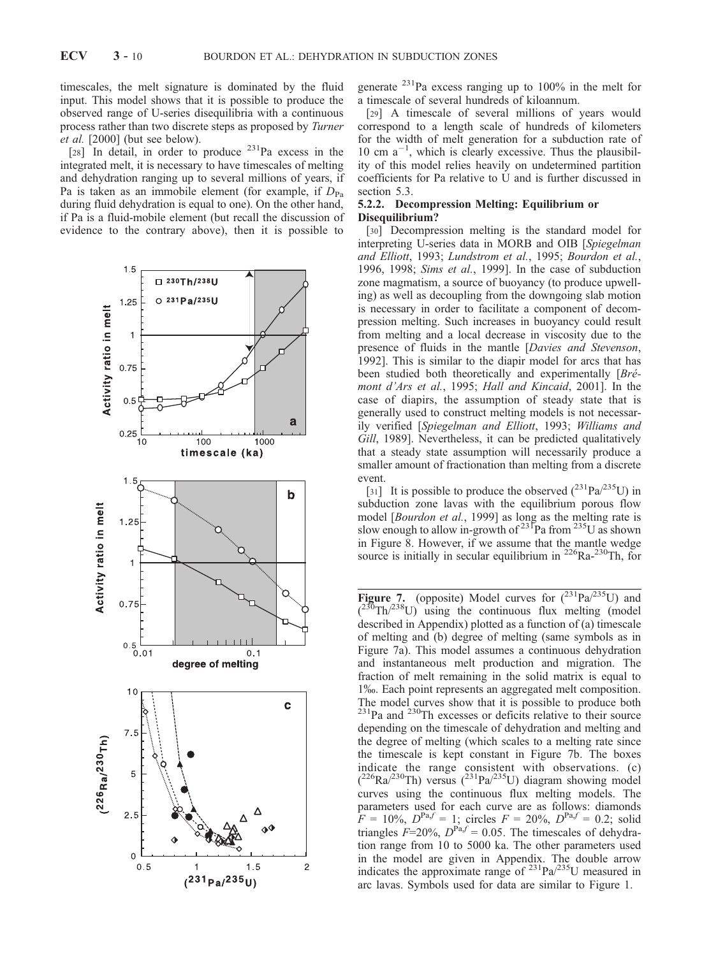timescales, the melt signature is dominated by the fluid input. This model shows that it is possible to produce the observed range of U-series disequilibria with a continuous process rather than two discrete steps as proposed by Turner et al. [2000] (but see below).

[28] In detail, in order to produce  $231$ Pa excess in the integrated melt, it is necessary to have timescales of melting and dehydration ranging up to several millions of years, if Pa is taken as an immobile element (for example, if  $D_{Pa}$ during fluid dehydration is equal to one). On the other hand, if Pa is a fluid-mobile element (but recall the discussion of evidence to the contrary above), then it is possible to



generate  $^{231}$ Pa excess ranging up to 100% in the melt for a timescale of several hundreds of kiloannum.

[29] A timescale of several millions of years would correspond to a length scale of hundreds of kilometers for the width of melt generation for a subduction rate of 10 cm  $a^{-1}$ , which is clearly excessive. Thus the plausibility of this model relies heavily on undetermined partition coefficients for Pa relative to U and is further discussed in section 5.3.

#### 5.2.2. Decompression Melting: Equilibrium or Disequilibrium?

[30] Decompression melting is the standard model for interpreting U-series data in MORB and OIB [Spiegelman and Elliott, 1993; Lundstrom et al., 1995; Bourdon et al., 1996, 1998; Sims et al., 1999]. In the case of subduction zone magmatism, a source of buoyancy (to produce upwelling) as well as decoupling from the downgoing slab motion is necessary in order to facilitate a component of decompression melting. Such increases in buoyancy could result from melting and a local decrease in viscosity due to the presence of fluids in the mantle [Davies and Stevenson, 1992]. This is similar to the diapir model for arcs that has been studied both theoretically and experimentally  $[Br\acute{e}-]$ mont d'Ars et al., 1995; Hall and Kincaid, 2001]. In the case of diapirs, the assumption of steady state that is generally used to construct melting models is not necessarily verified [Spiegelman and Elliott, 1993; Williams and Gill, 1989]. Nevertheless, it can be predicted qualitatively that a steady state assumption will necessarily produce a smaller amount of fractionation than melting from a discrete event.

[31] It is possible to produce the observed  $(^{231}Pa^{235}U)$  in subduction zone lavas with the equilibrium porous flow model [*Bourdon et al.*, 1999] as long as the melting rate is slow enough to allow in-growth of <sup>231</sup>Pa from <sup>235</sup>U as shown in Figure 8. However, if we assume that the mantle wedge source is initially in secular equilibrium in  $^{226}Ra^{-230}Th$ , for

Figure 7. (opposite) Model curves for  $(^{231}Pa/^{235}U)$  and  $({}^{230} \text{Th}/^{238} \text{U})$  using the continuous flux melting (model described in Appendix) plotted as a function of (a) timescale of melting and (b) degree of melting (same symbols as in Figure 7a). This model assumes a continuous dehydration and instantaneous melt production and migration. The fraction of melt remaining in the solid matrix is equal to 1%. Each point represents an aggregated melt composition. The model curves show that it is possible to produce both <sup>231</sup>Pa and <sup>230</sup>Th excesses or deficits relative to their source depending on the timescale of dehydration and melting and the degree of melting (which scales to a melting rate since the timescale is kept constant in Figure 7b. The boxes indicate the range consistent with observations. (c)  $(^{226}Ra^{/230}Th)$  versus  $(^{231}Pa^{/235}U)$  diagram showing model curves using the continuous flux melting models. The parameters used for each curve are as follows: diamonds  $F = 10\%, D^{Pa,f} = 1$ ; circles  $F = 20\%, D^{Pa,f} = 0.2$ ; solid triangles  $F=20\%$ ,  $D^{Pa,f} = 0.05$ . The timescales of dehydration range from 10 to 5000 ka. The other parameters used in the model are given in Appendix. The double arrow indicates the approximate range of  $^{231}Pa^{/235}U$  measured in arc lavas. Symbols used for data are similar to Figure 1.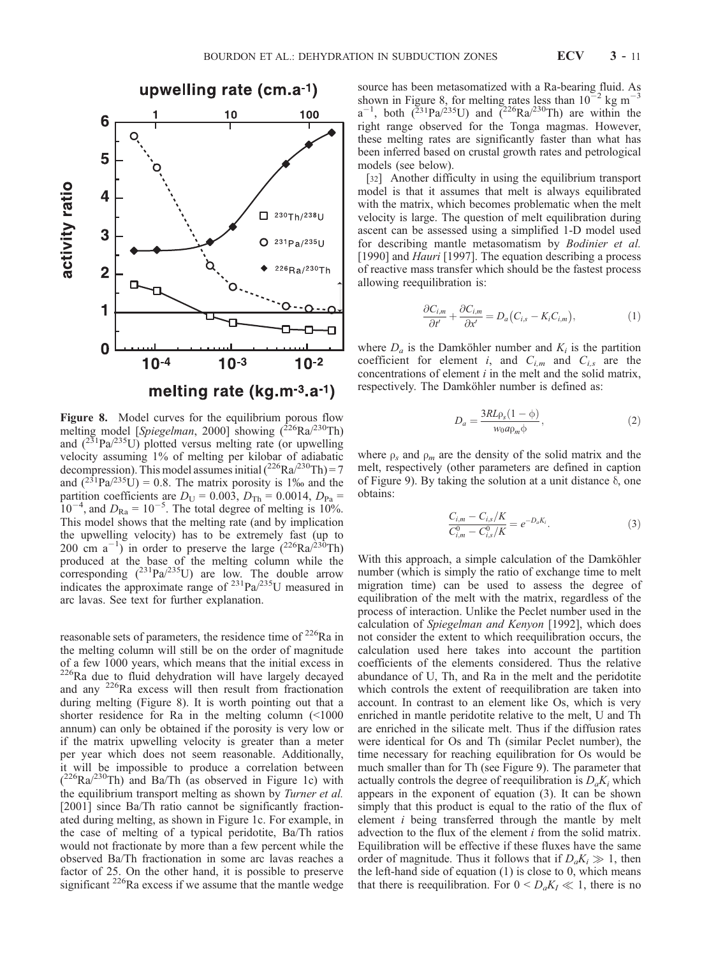

Figure 8. Model curves for the equilibrium porous flow melting model [Spiegelman, 2000] showing  $(^{226}Ra^{230}Th)$ and  $(^{231}Pa^{235}U)$  plotted versus melting rate (or upwelling velocity assuming 1% of melting per kilobar of adiabatic decompression). This model assumes initial  $(^{226}Ra^{230}Th) = 7$ and  $(^{231}Pa^{235}U) = 0.8$ . The matrix porosity is 1‰ and the partition coefficients are  $D_U = 0.003$ ,  $D_{Th} = 0.0014$ ,  $D_{Pa} =$  $10^{-4}$ , and  $D_{\text{Ra}} = 10^{-5}$ . The total degree of melting is 10%. This model shows that the melting rate (and by implication the upwelling velocity) has to be extremely fast (up to 200 cm  $a^{-1}$ ) in order to preserve the large (<sup>226</sup>Ra/<sup>230</sup>Th) produced at the base of the melting column while the corresponding  $(^{231}Pa/^{235}U)$  are low. The double arrow indicates the approximate range of  $^{231}Pa/^{235}U$  measured in arc lavas. See text for further explanation.

reasonable sets of parameters, the residence time of  $^{226}$ Ra in the melting column will still be on the order of magnitude of a few 1000 years, which means that the initial excess in <sup>226</sup>Ra due to fluid dehydration will have largely decayed and any 226Ra excess will then result from fractionation during melting (Figure 8). It is worth pointing out that a shorter residence for Ra in the melting column (<1000 annum) can only be obtained if the porosity is very low or if the matrix upwelling velocity is greater than a meter per year which does not seem reasonable. Additionally, it will be impossible to produce a correlation between  $(^{226}Ra^{230}Th)$  and Ba/Th (as observed in Figure 1c) with the equilibrium transport melting as shown by Turner et al. [2001] since Ba/Th ratio cannot be significantly fractionated during melting, as shown in Figure 1c. For example, in the case of melting of a typical peridotite, Ba/Th ratios would not fractionate by more than a few percent while the observed Ba/Th fractionation in some arc lavas reaches a factor of 25. On the other hand, it is possible to preserve significant <sup>226</sup>Ra excess if we assume that the mantle wedge

source has been metasomatized with a Ra-bearing fluid. As shown in Figure 8, for melting rates less than  $10^{-2}$  kg m<sup>-3</sup>  $a^{-1}$ , both ( $\frac{231}Pa^{235}U$ ) and ( $\frac{226}Ra^{230}Th$ ) are within the right range observed for the Tonga magmas. However, these melting rates are significantly faster than what has been inferred based on crustal growth rates and petrological models (see below).

[32] Another difficulty in using the equilibrium transport model is that it assumes that melt is always equilibrated with the matrix, which becomes problematic when the melt velocity is large. The question of melt equilibration during ascent can be assessed using a simplified 1-D model used for describing mantle metasomatism by Bodinier et al. [1990] and *Hauri* [1997]. The equation describing a process of reactive mass transfer which should be the fastest process allowing reequilibration is:

$$
\frac{\partial C_{i,m}}{\partial t'} + \frac{\partial C_{i,m}}{\partial x'} = D_a (C_{i,s} - K_i C_{i,m}), \qquad (1)
$$

where  $D_a$  is the Damköhler number and  $K_i$  is the partition coefficient for element i, and  $C_{i,m}$  and  $C_{i,s}$  are the concentrations of element  $i$  in the melt and the solid matrix, respectively. The Damköhler number is defined as:

$$
D_a = \frac{3RL\rho_s(1-\phi)}{w_0a\rho_m\phi},\qquad(2)
$$

where  $\rho_s$  and  $\rho_m$  are the density of the solid matrix and the melt, respectively (other parameters are defined in caption of Figure 9). By taking the solution at a unit distance  $\delta$ , one obtains:

$$
\frac{C_{i,m} - C_{i,s}/K}{C_{i,m}^0 - C_{i,s}^0/K} = e^{-D_a K_i}.
$$
\n(3)

With this approach, a simple calculation of the Damköhler number (which is simply the ratio of exchange time to melt migration time) can be used to assess the degree of equilibration of the melt with the matrix, regardless of the process of interaction. Unlike the Peclet number used in the calculation of Spiegelman and Kenyon [1992], which does not consider the extent to which reequilibration occurs, the calculation used here takes into account the partition coefficients of the elements considered. Thus the relative abundance of U, Th, and Ra in the melt and the peridotite which controls the extent of reequilibration are taken into account. In contrast to an element like Os, which is very enriched in mantle peridotite relative to the melt, U and Th are enriched in the silicate melt. Thus if the diffusion rates were identical for Os and Th (similar Peclet number), the time necessary for reaching equilibration for Os would be much smaller than for Th (see Figure 9). The parameter that actually controls the degree of reequilibration is  $D_a K_i$  which appears in the exponent of equation (3). It can be shown simply that this product is equal to the ratio of the flux of element i being transferred through the mantle by melt advection to the flux of the element  $i$  from the solid matrix. Equilibration will be effective if these fluxes have the same order of magnitude. Thus it follows that if  $D_a K_i \gg 1$ , then the left-hand side of equation (1) is close to 0, which means that there is reequilibration. For  $0 \leq D_a K_I \ll 1$ , there is no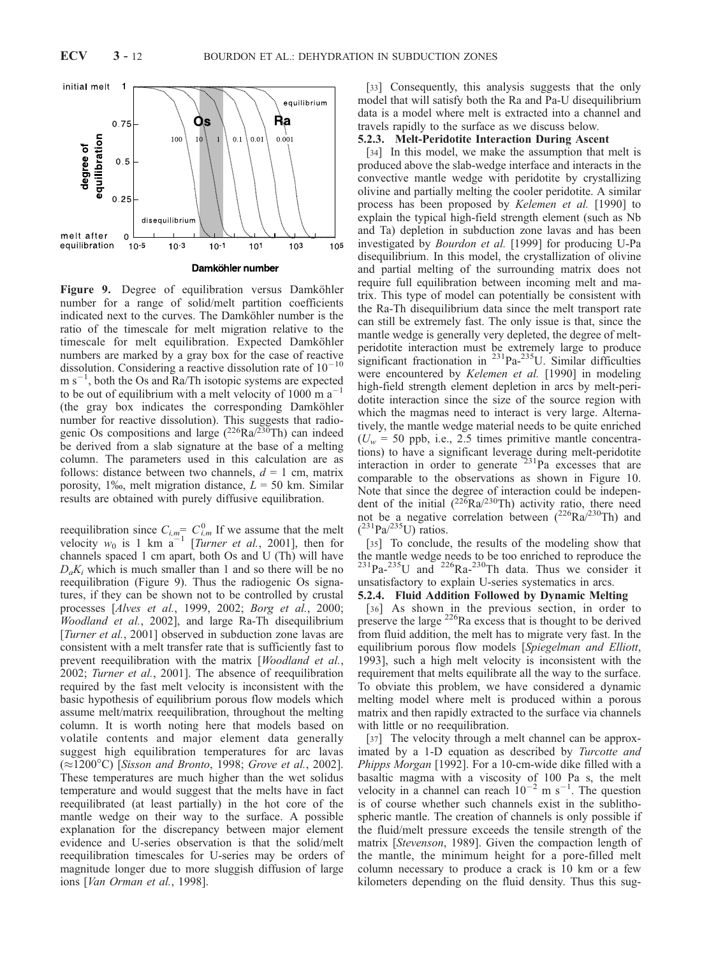

Figure 9. Degree of equilibration versus Damköhler number for a range of solid/melt partition coefficients indicated next to the curves. The Damköhler number is the ratio of the timescale for melt migration relative to the timescale for melt equilibration. Expected Damköhler numbers are marked by a gray box for the case of reactive dissolution. Considering a reactive dissolution rate of  $10^{-10}$  $m s^{-1}$ , both the Os and Ra/Th isotopic systems are expected to be out of equilibrium with a melt velocity of  $1000 \text{ m a}^{-1}$ (the gray box indicates the corresponding Damköhler number for reactive dissolution). This suggests that radiogenic Os compositions and large  $(^{226}Ra^{/230}Th)$  can indeed be derived from a slab signature at the base of a melting column. The parameters used in this calculation are as follows: distance between two channels,  $d = 1$  cm, matrix porosity, 1‰, melt migration distance,  $L = 50$  km. Similar results are obtained with purely diffusive equilibration.

reequilibration since  $C_{i,m} = C_{i,m}^0$  If we assume that the melt velocity  $w_0$  is 1 km  $a^{-1}$  [*Turner et al.*, 2001], then for channels spaced 1 cm apart, both Os and U (Th) will have  $D_a K_i$  which is much smaller than 1 and so there will be no reequilibration (Figure 9). Thus the radiogenic Os signatures, if they can be shown not to be controlled by crustal processes [Alves et al., 1999, 2002; Borg et al., 2000; Woodland et al., 2002], and large Ra-Th disequilibrium [*Turner et al.*, 2001] observed in subduction zone lavas are consistent with a melt transfer rate that is sufficiently fast to prevent reequilibration with the matrix [Woodland et al., 2002; Turner et al., 2001]. The absence of reequilibration required by the fast melt velocity is inconsistent with the basic hypothesis of equilibrium porous flow models which assume melt/matrix reequilibration, throughout the melting column. It is worth noting here that models based on volatile contents and major element data generally suggest high equilibration temperatures for arc lavas  $(\approx 1200^{\circ}C)$  [Sisson and Bronto, 1998; Grove et al., 2002]. These temperatures are much higher than the wet solidus temperature and would suggest that the melts have in fact reequilibrated (at least partially) in the hot core of the mantle wedge on their way to the surface. A possible explanation for the discrepancy between major element evidence and U-series observation is that the solid/melt reequilibration timescales for U-series may be orders of magnitude longer due to more sluggish diffusion of large ions [Van Orman et al., 1998].

[33] Consequently, this analysis suggests that the only model that will satisfy both the Ra and Pa-U disequilibrium data is a model where melt is extracted into a channel and travels rapidly to the surface as we discuss below.

#### 5.2.3. Melt-Peridotite Interaction During Ascent

[34] In this model, we make the assumption that melt is produced above the slab-wedge interface and interacts in the convective mantle wedge with peridotite by crystallizing olivine and partially melting the cooler peridotite. A similar process has been proposed by Kelemen et al. [1990] to explain the typical high-field strength element (such as Nb and Ta) depletion in subduction zone lavas and has been investigated by Bourdon et al. [1999] for producing U-Pa disequilibrium. In this model, the crystallization of olivine and partial melting of the surrounding matrix does not require full equilibration between incoming melt and matrix. This type of model can potentially be consistent with the Ra-Th disequilibrium data since the melt transport rate can still be extremely fast. The only issue is that, since the mantle wedge is generally very depleted, the degree of meltperidotite interaction must be extremely large to produce significant fractionation in  $^{231}$ Pa- $^{235}$ U. Similar difficulties were encountered by Kelemen et al. [1990] in modeling high-field strength element depletion in arcs by melt-peridotite interaction since the size of the source region with which the magmas need to interact is very large. Alternatively, the mantle wedge material needs to be quite enriched  $(U_w = 50 \text{ pb}, \text{ i.e., } 2.5 \text{ times primitive mantle concentra-}$ tions) to have a significant leverage during melt-peridotite interaction in order to generate  $231$ Pa excesses that are comparable to the observations as shown in Figure 10. Note that since the degree of interaction could be independent of the initial  $(^{226}Ra^{230}Th)$  activity ratio, there need not be a negative correlation between  $(226Ra)^{230}$ Th) and  $(^{231}Pa^{/235}U)$  ratios.

[35] To conclude, the results of the modeling show that the mantle wedge needs to be too enriched to reproduce the  $^{231}$ Pa- $^{235}$ U and  $^{226}$ Ra- $^{230}$ Th data. Thus we consider it unsatisfactory to explain U-series systematics in arcs.

#### 5.2.4. Fluid Addition Followed by Dynamic Melting

[36] As shown in the previous section, in order to preserve the large <sup>226</sup>Ra excess that is thought to be derived from fluid addition, the melt has to migrate very fast. In the equilibrium porous flow models [Spiegelman and Elliott, 1993], such a high melt velocity is inconsistent with the requirement that melts equilibrate all the way to the surface. To obviate this problem, we have considered a dynamic melting model where melt is produced within a porous matrix and then rapidly extracted to the surface via channels with little or no reequilibration.

[37] The velocity through a melt channel can be approximated by a 1-D equation as described by *Turcotte and* Phipps Morgan [1992]. For a 10-cm-wide dike filled with a basaltic magma with a viscosity of 100 Pa s, the melt velocity in a channel can reach  $10^{-2}$  m s<sup>-1</sup>. The question is of course whether such channels exist in the sublithospheric mantle. The creation of channels is only possible if the fluid/melt pressure exceeds the tensile strength of the matrix [Stevenson, 1989]. Given the compaction length of the mantle, the minimum height for a pore-filled melt column necessary to produce a crack is 10 km or a few kilometers depending on the fluid density. Thus this sug-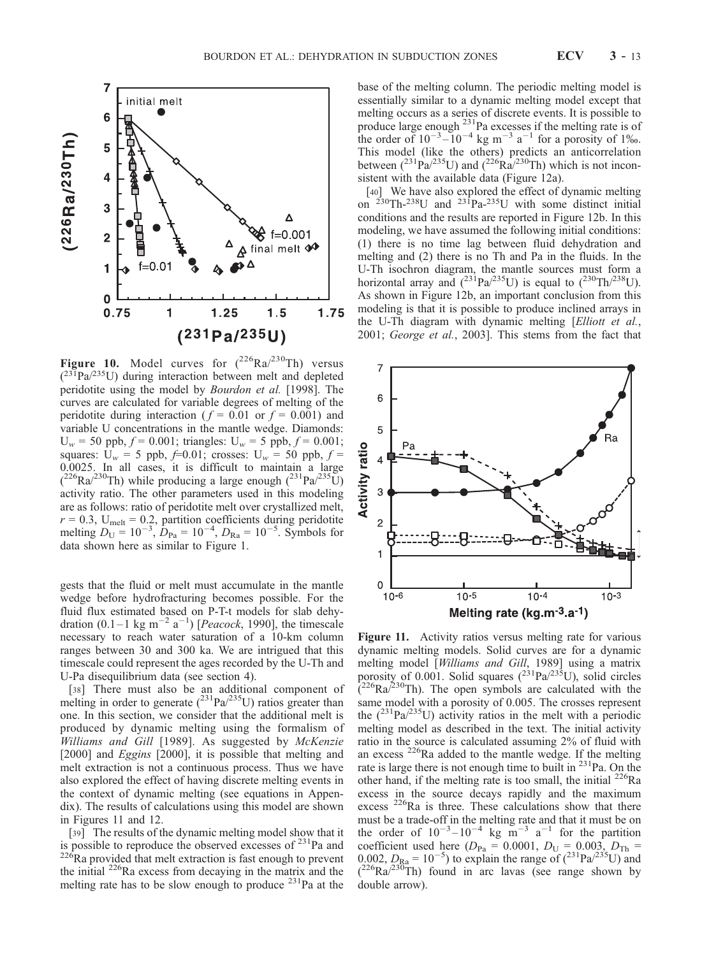

Figure 10. Model curves for  $(^{226}Ra)^{230}Th$  versus  $(^{231}Pa/^{235}U)$  during interaction between melt and depleted peridotite using the model by Bourdon et al. [1998]. The curves are calculated for variable degrees of melting of the peridotite during interaction ( $f = 0.01$  or  $f = 0.001$ ) and variable U concentrations in the mantle wedge. Diamonds:  $U_w = 50$  ppb,  $f = 0.001$ ; triangles:  $U_w = 5$  ppb,  $f = 0.001$ ; squares:  $U_w = 5$  ppb,  $f=0.01$ ; crosses:  $U_w = 50$  ppb,  $f=$ 0.0025. In all cases, it is difficult to maintain a large  $(^{226}Ra^{230}Th)$  while producing a large enough  $(^{231}Pa^{235}U)$ activity ratio. The other parameters used in this modeling are as follows: ratio of peridotite melt over crystallized melt,  $r = 0.3$ , U<sub>melt</sub> = 0.2, partition coefficients during peridotite melting  $D_U = 10^{-3}$ ,  $D_{Pa} = 10^{-4}$ ,  $D_{Ra} = 10^{-5}$ . Symbols for data shown here as similar to Figure 1.

gests that the fluid or melt must accumulate in the mantle wedge before hydrofracturing becomes possible. For the fluid flux estimated based on P-T-t models for slab dehydration (0.1–1 kg m<sup>-2</sup> a<sup>-1</sup>) [*Peacock*, 1990], the timescale necessary to reach water saturation of a 10-km column ranges between 30 and 300 ka. We are intrigued that this timescale could represent the ages recorded by the U-Th and U-Pa disequilibrium data (see section 4).

[38] There must also be an additional component of melting in order to generate  $(^{231}Pa/^{235}U)$  ratios greater than one. In this section, we consider that the additional melt is produced by dynamic melting using the formalism of Williams and Gill [1989]. As suggested by McKenzie [2000] and *Eggins* [2000], it is possible that melting and melt extraction is not a continuous process. Thus we have also explored the effect of having discrete melting events in the context of dynamic melting (see equations in Appendix). The results of calculations using this model are shown in Figures 11 and 12.

[39] The results of the dynamic melting model show that it is possible to reproduce the observed excesses of  $^{231}$ Pa and  $226$ Ra provided that melt extraction is fast enough to prevent the initial <sup>226</sup>Ra excess from decaying in the matrix and the melting rate has to be slow enough to produce <sup>231</sup>Pa at the

base of the melting column. The periodic melting model is essentially similar to a dynamic melting model except that melting occurs as a series of discrete events. It is possible to produce large enough  $^{231}$ Pa excesses if the melting rate is of the order of  $10^{-3}$ - $10^{-4}$  kg m<sup>-3</sup> a<sup>-1</sup> for a porosity of 1\%. This model (like the others) predicts an anticorrelation between  $(^{231}Pa^{235}U)$  and  $(^{226}Ra^{230}Th)$  which is not inconsistent with the available data (Figure 12a).

[40] We have also explored the effect of dynamic melting on  $^{230}$ Th-<sup>238</sup>U and  $^{231}$ Pa-<sup>235</sup>U with some distinct initial conditions and the results are reported in Figure 12b. In this modeling, we have assumed the following initial conditions: (1) there is no time lag between fluid dehydration and melting and (2) there is no Th and Pa in the fluids. In the U-Th isochron diagram, the mantle sources must form a horizontal array and  $(^{231}Pa^{235}U)$  is equal to  $(^{230}Th^{238}U)$ . As shown in Figure 12b, an important conclusion from this modeling is that it is possible to produce inclined arrays in the U-Th diagram with dynamic melting [Elliott et al., 2001; George et al., 2003]. This stems from the fact that



Figure 11. Activity ratios versus melting rate for various dynamic melting models. Solid curves are for a dynamic melting model [Williams and Gill, 1989] using a matrix porosity of 0.001. Solid squares  $(^{231}Pa/^{235}U)$ , solid circles  $\int_0^{226}$ Ra/<sup>230</sup>Th). The open symbols are calculated with the same model with a porosity of 0.005. The crosses represent the  $(^{231}Pa/^{235}U)$  activity ratios in the melt with a periodic melting model as described in the text. The initial activity ratio in the source is calculated assuming 2% of fluid with an excess <sup>226</sup>Ra added to the mantle wedge. If the melting rate is large there is not enough time to built in  $^{231}$ Pa. On the other hand, if the melting rate is too small, the initial <sup>226</sup>Ra excess in the source decays rapidly and the maximum excess <sup>226</sup>Ra is three. These calculations show that there must be a trade-off in the melting rate and that it must be on the order of  $10^{-3}$ - $10^{-4}$  kg m<sup>-3</sup> a<sup>-1</sup> for the partition coefficient used here  $(D_{Pa} = 0.0001, D_{U} = 0.003, D_{Th} =$  $0.002, D_{\text{Ra}} = 10^{-5}$ ) to explain the range of  $(^{231} \text{Pa}/^{235} \text{U})$  and  $(^{226}Ra/^{230}Th)$  found in arc lavas (see range shown by double arrow).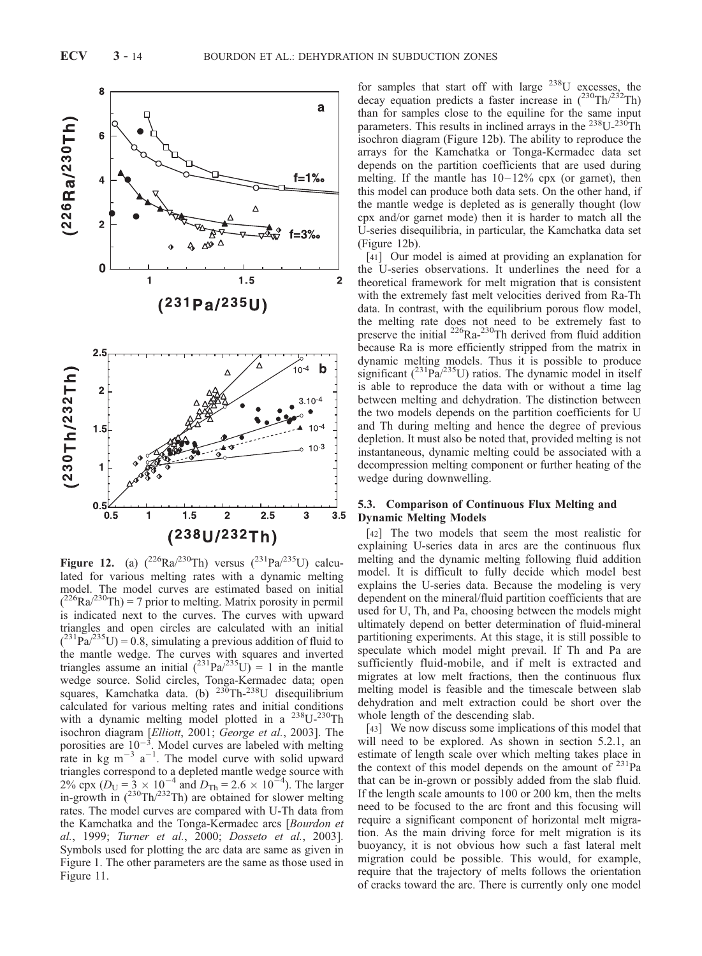

Figure 12. (a)  $(^{226}Ra)^{230}Th$  versus  $(^{231}Pa)^{235}U$  calculated for various melting rates with a dynamic melting model. The model curves are estimated based on initial  $(^{226}Ra^{230}Th) = 7$  prior to melting. Matrix porosity in permil is indicated next to the curves. The curves with upward triangles and open circles are calculated with an initial  $(^{231}Pa^{235}U) = 0.8$ , simulating a previous addition of fluid to the mantle wedge. The curves with squares and inverted triangles assume an initial  $(^{231}Pa^{235}U) = 1$  in the mantle wedge source. Solid circles, Tonga-Kermadec data; open squares, Kamchatka data. (b)  $230$ Th- $238$ U disequilibrium calculated for various melting rates and initial conditions with a dynamic melting model plotted in a <sup>238</sup>U-<sup>230</sup>Th isochron diagram [Elliott, 2001; George et al., 2003]. The porosities are  $10^{-3}$ . Model curves are labeled with melting rate in kg  $m^{-3}$  a<sup>-1</sup>. The model curve with solid upward triangles correspond to a depleted mantle wedge source with 2% cpx ( $D_U = \frac{1}{2} \times 10^{-4}$  and  $D_{Th} = 2.6 \times 10^{-4}$ ). The larger in-growth in  $(^{230}Th/^{232}Th)$  are obtained for slower melting rates. The model curves are compared with U-Th data from the Kamchatka and the Tonga-Kermadec arcs [Bourdon et al., 1999; Turner et al., 2000; Dosseto et al., 2003]. Symbols used for plotting the arc data are same as given in Figure 1. The other parameters are the same as those used in Figure 11.

for samples that start off with large  $^{238}$ U excesses, the decay equation predicts a faster increase in  $(^{230}Th/^{232}Th)$ than for samples close to the equiline for the same input parameters. This results in inclined arrays in the  $^{238}$ U- $^{230}$ Th isochron diagram (Figure 12b). The ability to reproduce the arrays for the Kamchatka or Tonga-Kermadec data set depends on the partition coefficients that are used during melting. If the mantle has  $10-12\%$  cpx (or garnet), then this model can produce both data sets. On the other hand, if the mantle wedge is depleted as is generally thought (low cpx and/or garnet mode) then it is harder to match all the U-series disequilibria, in particular, the Kamchatka data set (Figure 12b).

[41] Our model is aimed at providing an explanation for the U-series observations. It underlines the need for a theoretical framework for melt migration that is consistent with the extremely fast melt velocities derived from Ra-Th data. In contrast, with the equilibrium porous flow model, the melting rate does not need to be extremely fast to preserve the initial  $^{226}$ Ra- $^{230}$ Th derived from fluid addition because Ra is more efficiently stripped from the matrix in dynamic melting models. Thus it is possible to produce significant  $(^{231}Pa^{235}U)$  ratios. The dynamic model in itself is able to reproduce the data with or without a time lag between melting and dehydration. The distinction between the two models depends on the partition coefficients for U and Th during melting and hence the degree of previous depletion. It must also be noted that, provided melting is not instantaneous, dynamic melting could be associated with a decompression melting component or further heating of the wedge during downwelling.

#### 5.3. Comparison of Continuous Flux Melting and Dynamic Melting Models

[42] The two models that seem the most realistic for explaining U-series data in arcs are the continuous flux melting and the dynamic melting following fluid addition model. It is difficult to fully decide which model best explains the U-series data. Because the modeling is very dependent on the mineral/fluid partition coefficients that are used for U, Th, and Pa, choosing between the models might ultimately depend on better determination of fluid-mineral partitioning experiments. At this stage, it is still possible to speculate which model might prevail. If Th and Pa are sufficiently fluid-mobile, and if melt is extracted and migrates at low melt fractions, then the continuous flux melting model is feasible and the timescale between slab dehydration and melt extraction could be short over the whole length of the descending slab.

[43] We now discuss some implications of this model that will need to be explored. As shown in section 5.2.1, an estimate of length scale over which melting takes place in the context of this model depends on the amount of  $^{231}$ Pa that can be in-grown or possibly added from the slab fluid. If the length scale amounts to 100 or 200 km, then the melts need to be focused to the arc front and this focusing will require a significant component of horizontal melt migration. As the main driving force for melt migration is its buoyancy, it is not obvious how such a fast lateral melt migration could be possible. This would, for example, require that the trajectory of melts follows the orientation of cracks toward the arc. There is currently only one model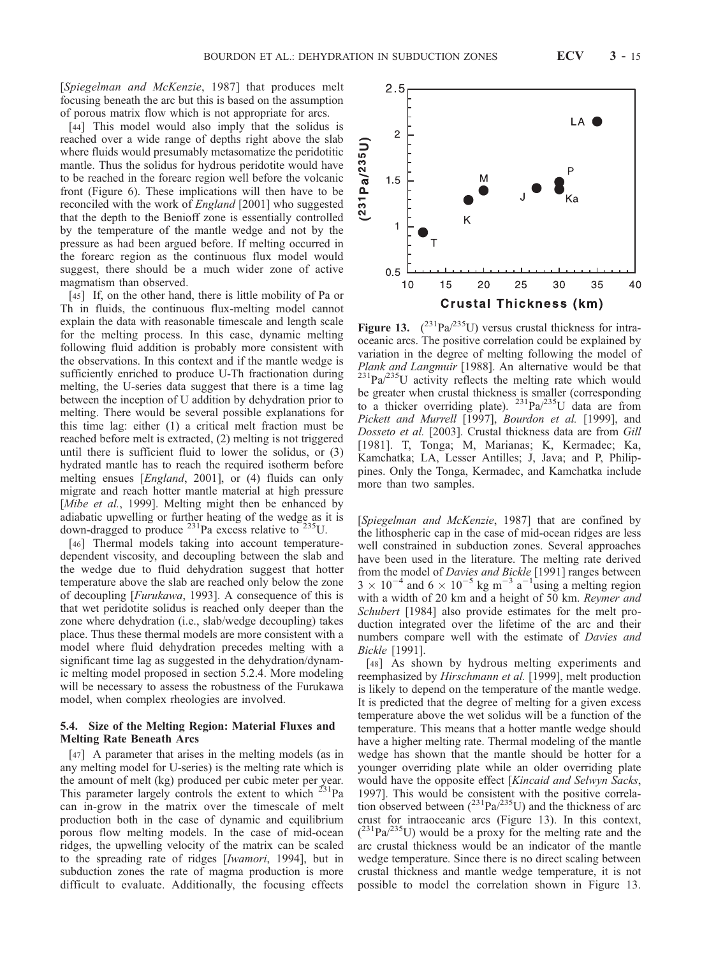[Spiegelman and McKenzie, 1987] that produces melt focusing beneath the arc but this is based on the assumption of porous matrix flow which is not appropriate for arcs.

[44] This model would also imply that the solidus is reached over a wide range of depths right above the slab where fluids would presumably metasomatize the peridotitic mantle. Thus the solidus for hydrous peridotite would have to be reached in the forearc region well before the volcanic front (Figure 6). These implications will then have to be reconciled with the work of England [2001] who suggested that the depth to the Benioff zone is essentially controlled by the temperature of the mantle wedge and not by the pressure as had been argued before. If melting occurred in the forearc region as the continuous flux model would suggest, there should be a much wider zone of active magmatism than observed.

[45] If, on the other hand, there is little mobility of Pa or Th in fluids, the continuous flux-melting model cannot explain the data with reasonable timescale and length scale for the melting process. In this case, dynamic melting following fluid addition is probably more consistent with the observations. In this context and if the mantle wedge is sufficiently enriched to produce U-Th fractionation during melting, the U-series data suggest that there is a time lag between the inception of U addition by dehydration prior to melting. There would be several possible explanations for this time lag: either (1) a critical melt fraction must be reached before melt is extracted, (2) melting is not triggered until there is sufficient fluid to lower the solidus, or (3) hydrated mantle has to reach the required isotherm before melting ensues [*England*, 2001], or (4) fluids can only migrate and reach hotter mantle material at high pressure [Mibe et al., 1999]. Melting might then be enhanced by adiabatic upwelling or further heating of the wedge as it is down-dragged to produce  $^{231}$ Pa excess relative to  $^{235}$ U.

[46] Thermal models taking into account temperaturedependent viscosity, and decoupling between the slab and the wedge due to fluid dehydration suggest that hotter temperature above the slab are reached only below the zone of decoupling [Furukawa, 1993]. A consequence of this is that wet peridotite solidus is reached only deeper than the zone where dehydration (i.e., slab/wedge decoupling) takes place. Thus these thermal models are more consistent with a model where fluid dehydration precedes melting with a significant time lag as suggested in the dehydration/dynamic melting model proposed in section 5.2.4. More modeling will be necessary to assess the robustness of the Furukawa model, when complex rheologies are involved.

#### 5.4. Size of the Melting Region: Material Fluxes and Melting Rate Beneath Arcs

[47] A parameter that arises in the melting models (as in any melting model for U-series) is the melting rate which is the amount of melt (kg) produced per cubic meter per year. This parameter largely controls the extent to which  $^{231}$ Pa can in-grow in the matrix over the timescale of melt production both in the case of dynamic and equilibrium porous flow melting models. In the case of mid-ocean ridges, the upwelling velocity of the matrix can be scaled to the spreading rate of ridges [Iwamori, 1994], but in subduction zones the rate of magma production is more difficult to evaluate. Additionally, the focusing effects

Figure 13.  $(^{231}Pa/^{235}U)$  versus crustal thickness for intraoceanic arcs. The positive correlation could be explained by variation in the degree of melting following the model of Plank and Langmuir [1988]. An alternative would be that  $^{231}$ Pa $/^{235}$ U activity reflects the melting rate which would be greater when crustal thickness is smaller (corresponding to a thicker overriding plate).  $^{231}Pa^{235}U$  data are from Pickett and Murrell [1997], Bourdon et al. [1999], and Dosseto et al. [2003]. Crustal thickness data are from Gill [1981]. T, Tonga; M, Marianas; K, Kermadec; Ka, Kamchatka; LA, Lesser Antilles; J, Java; and P, Philippines. Only the Tonga, Kermadec, and Kamchatka include more than two samples.

[Spiegelman and McKenzie, 1987] that are confined by the lithospheric cap in the case of mid-ocean ridges are less well constrained in subduction zones. Several approaches have been used in the literature. The melting rate derived from the model of Davies and Bickle [1991] ranges between  $3 \times 10^{-4}$  and  $6 \times 10^{-5}$  kg m<sup>-3</sup> a<sup>-1</sup> using a melting region with a width of 20 km and a height of 50 km. Reymer and Schubert [1984] also provide estimates for the melt production integrated over the lifetime of the arc and their numbers compare well with the estimate of Davies and Bickle [1991].

[48] As shown by hydrous melting experiments and reemphasized by Hirschmann et al. [1999], melt production is likely to depend on the temperature of the mantle wedge. It is predicted that the degree of melting for a given excess temperature above the wet solidus will be a function of the temperature. This means that a hotter mantle wedge should have a higher melting rate. Thermal modeling of the mantle wedge has shown that the mantle should be hotter for a younger overriding plate while an older overriding plate would have the opposite effect [Kincaid and Selwyn Sacks, 1997]. This would be consistent with the positive correlation observed between  $(^{231}Pa^{235}U)$  and the thickness of arc crust for intraoceanic arcs (Figure 13). In this context,  $(^{231}Pa/^{235}U)$  would be a proxy for the melting rate and the arc crustal thickness would be an indicator of the mantle wedge temperature. Since there is no direct scaling between crustal thickness and mantle wedge temperature, it is not possible to model the correlation shown in Figure 13.

LA (  $\overline{c}$  $231 Pa/235 U$  $1.5$ K  $\mathbf{1}$  $0.5$ 15 20 25 30 35 40  $10$ **Crustal Thickness (km)** 

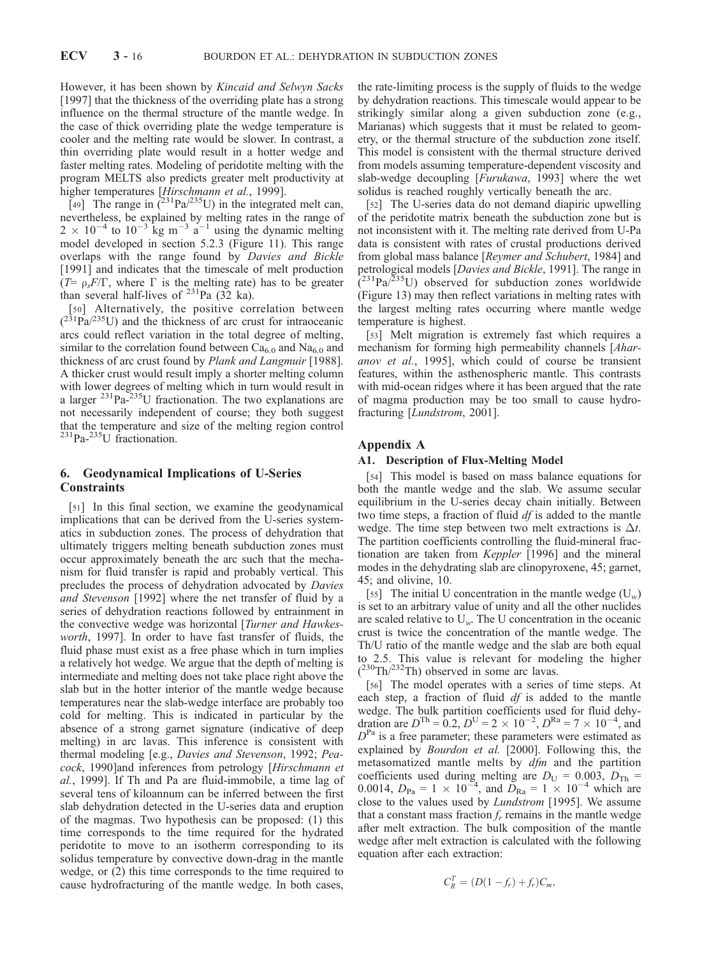However, it has been shown by Kincaid and Selwyn Sacks [1997] that the thickness of the overriding plate has a strong influence on the thermal structure of the mantle wedge. In the case of thick overriding plate the wedge temperature is cooler and the melting rate would be slower. In contrast, a thin overriding plate would result in a hotter wedge and faster melting rates. Modeling of peridotite melting with the program MELTS also predicts greater melt productivity at higher temperatures [Hirschmann et al., 1999].

[49] The range in  $(^{231}Pa/^{235}U)$  in the integrated melt can, nevertheless, be explained by melting rates in the range of  $2 \times 10^{-4}$  to  $10^{-3}$  kg m<sup>-3</sup> a<sup>-1</sup> using the dynamic melting model developed in section 5.2.3 (Figure 11). This range overlaps with the range found by Davies and Bickle [1991] and indicates that the timescale of melt production ( $T = \rho_s F/\Gamma$ , where  $\Gamma$  is the melting rate) has to be greater than several half-lives of  $^{231}$ Pa (32 ka).

[50] Alternatively, the positive correlation between  $(^{231}Pa^{235}U)$  and the thickness of arc crust for intraoceanic arcs could reflect variation in the total degree of melting, similar to the correlation found between  $Ca<sub>6.0</sub>$  and Na<sub>6.0</sub> and thickness of arc crust found by Plank and Langmuir [1988]. A thicker crust would result imply a shorter melting column with lower degrees of melting which in turn would result in a larger  $^{231}$ Pa- $^{235}$ U fractionation. The two explanations are not necessarily independent of course; they both suggest that the temperature and size of the melting region control  $^{231}$ Pa- $^{235}$ U fractionation.

#### 6. Geodynamical Implications of U-Series **Constraints**

[51] In this final section, we examine the geodynamical implications that can be derived from the U-series systematics in subduction zones. The process of dehydration that ultimately triggers melting beneath subduction zones must occur approximately beneath the arc such that the mechanism for fluid transfer is rapid and probably vertical. This precludes the process of dehydration advocated by Davies and Stevenson [1992] where the net transfer of fluid by a series of dehydration reactions followed by entrainment in the convective wedge was horizontal [Turner and Hawkesworth, 1997]. In order to have fast transfer of fluids, the fluid phase must exist as a free phase which in turn implies a relatively hot wedge. We argue that the depth of melting is intermediate and melting does not take place right above the slab but in the hotter interior of the mantle wedge because temperatures near the slab-wedge interface are probably too cold for melting. This is indicated in particular by the absence of a strong garnet signature (indicative of deep melting) in arc lavas. This inference is consistent with thermal modeling [e.g., Davies and Stevenson, 1992; Peacock, 1990]and inferences from petrology [Hirschmann et al., 1999]. If Th and Pa are fluid-immobile, a time lag of several tens of kiloannum can be inferred between the first slab dehydration detected in the U-series data and eruption of the magmas. Two hypothesis can be proposed: (1) this time corresponds to the time required for the hydrated peridotite to move to an isotherm corresponding to its solidus temperature by convective down-drag in the mantle wedge, or (2) this time corresponds to the time required to cause hydrofracturing of the mantle wedge. In both cases,

the rate-limiting process is the supply of fluids to the wedge by dehydration reactions. This timescale would appear to be strikingly similar along a given subduction zone (e.g., Marianas) which suggests that it must be related to geometry, or the thermal structure of the subduction zone itself. This model is consistent with the thermal structure derived from models assuming temperature-dependent viscosity and slab-wedge decoupling [Furukawa, 1993] where the wet solidus is reached roughly vertically beneath the arc.

[52] The U-series data do not demand diapiric upwelling of the peridotite matrix beneath the subduction zone but is not inconsistent with it. The melting rate derived from U-Pa data is consistent with rates of crustal productions derived from global mass balance [Reymer and Schubert, 1984] and petrological models [Davies and Bickle, 1991]. The range in  $(2^{31}Pa/2^{35}U)$  observed for subduction zones worldwide (Figure 13) may then reflect variations in melting rates with the largest melting rates occurring where mantle wedge temperature is highest.

[53] Melt migration is extremely fast which requires a mechanism for forming high permeability channels [Aharanov et al., 1995], which could of course be transient features, within the asthenospheric mantle. This contrasts with mid-ocean ridges where it has been argued that the rate of magma production may be too small to cause hydrofracturing [Lundstrom, 2001].

#### Appendix A

#### A1. Description of Flux-Melting Model

[54] This model is based on mass balance equations for both the mantle wedge and the slab. We assume secular equilibrium in the U-series decay chain initially. Between two time steps, a fraction of fluid  $df$  is added to the mantle wedge. The time step between two melt extractions is  $\Delta t$ . The partition coefficients controlling the fluid-mineral fractionation are taken from Keppler [1996] and the mineral modes in the dehydrating slab are clinopyroxene, 45; garnet, 45; and olivine, 10.

[55] The initial U concentration in the mantle wedge  $(U_w)$ is set to an arbitrary value of unity and all the other nuclides are scaled relative to  $U_w$ . The U concentration in the oceanic crust is twice the concentration of the mantle wedge. The Th/U ratio of the mantle wedge and the slab are both equal to 2.5. This value is relevant for modeling the higher  $(^{230}Th/^{232}Th)$  observed in some arc lavas.

[56] The model operates with a series of time steps. At each step, a fraction of fluid  $df$  is added to the mantle wedge. The bulk partition coefficients used for fluid dehydration are  $D^{Th} = 0.2$ ,  $D^{U} = 2 \times 10^{-2}$ ,  $D^{Ra} = 7 \times 10^{-4}$ , and  $D<sup>Pa</sup>$  is a free parameter; these parameters were estimated as explained by Bourdon et al. [2000]. Following this, the metasomatized mantle melts by  $dfm$  and the partition coefficients used during melting are  $D_U = 0.003$ ,  $D_{Th} =$ 0.0014,  $D_{\text{Pa}} = 1 \times 10^{-4}$ , and  $\overline{D}_{\text{Ra}} = 1 \times 10^{-4}$  which are close to the values used by Lundstrom [1995]. We assume that a constant mass fraction  $f_r$  remains in the mantle wedge after melt extraction. The bulk composition of the mantle wedge after melt extraction is calculated with the following equation after each extraction:

$$
C_R^T = (D(1-f_r)+f_r)C_m,
$$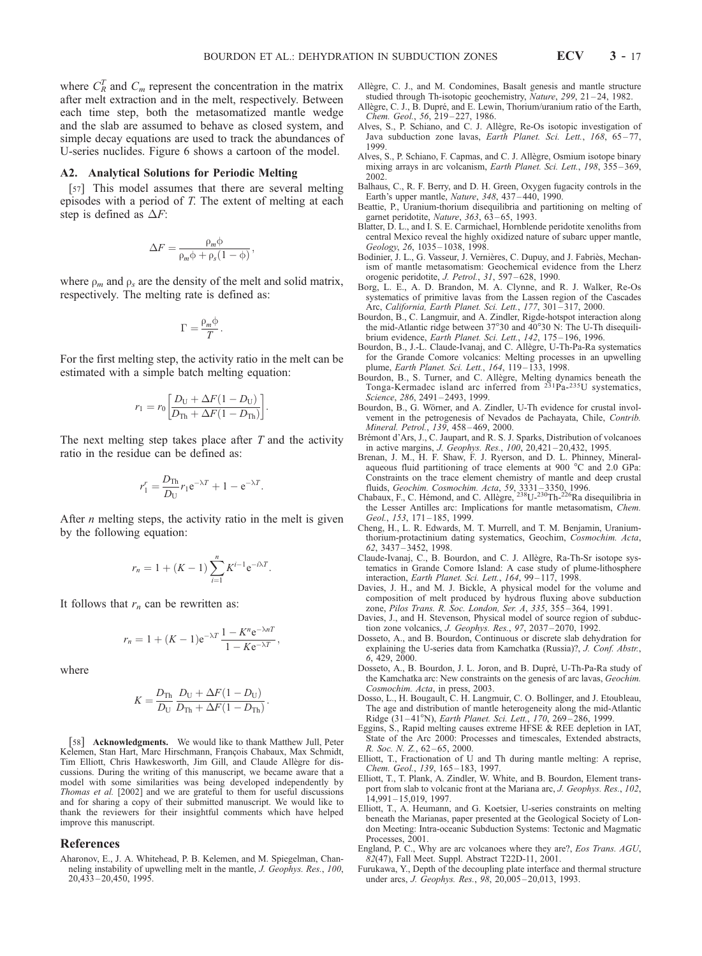where  $C_R^T$  and  $C_m$  represent the concentration in the matrix after melt extraction and in the melt, respectively. Between each time step, both the metasomatized mantle wedge and the slab are assumed to behave as closed system, and simple decay equations are used to track the abundances of U-series nuclides. Figure 6 shows a cartoon of the model.

#### A2. Analytical Solutions for Periodic Melting

[57] This model assumes that there are several melting episodes with a period of T. The extent of melting at each step is defined as  $\Delta F$ :

$$
\Delta F = \frac{\rho_m \phi}{\rho_m \phi + \rho_s (1 - \phi)},
$$

where  $\rho_m$  and  $\rho_s$  are the density of the melt and solid matrix, respectively. The melting rate is defined as:

$$
\Gamma = \frac{\rho_m \varphi}{T}.
$$

For the first melting step, the activity ratio in the melt can be estimated with a simple batch melting equation:

$$
r_1 = r_0 \left[ \frac{D_U + \Delta F (1 - D_U)}{D_{Th} + \Delta F (1 - D_{Th})} \right].
$$

The next melting step takes place after  $T$  and the activity ratio in the residue can be defined as:

$$
r_1^r = \frac{D_{\text{Th}}}{D_{\text{U}}} r_1 e^{-\lambda T} + 1 - e^{-\lambda T}.
$$

After *n* melting steps, the activity ratio in the melt is given by the following equation:

$$
r_n = 1 + (K - 1) \sum_{i=1}^n K^{i-1} e^{-i\lambda T}.
$$

It follows that  $r_n$  can be rewritten as:

$$
r_n = 1 + (K - 1)e^{-\lambda T} \frac{1 - K^n e^{-\lambda nT}}{1 - K e^{-\lambda T}},
$$

where

$$
K = \frac{D_{\text{Th}}}{D_{\text{U}}} \frac{D_{\text{U}} + \Delta F (1 - D_{\text{U}})}{D_{\text{Th}} + \Delta F (1 - D_{\text{Th}})}.
$$

[58] Acknowledgments. We would like to thank Matthew Jull, Peter Kelemen, Stan Hart, Marc Hirschmann, François Chabaux, Max Schmidt, Tim Elliott, Chris Hawkesworth, Jim Gill, and Claude Allègre for discussions. During the writing of this manuscript, we became aware that a model with some similarities was being developed independently by Thomas et al. [2002] and we are grateful to them for useful discussions and for sharing a copy of their submitted manuscript. We would like to thank the reviewers for their insightful comments which have helped improve this manuscript.

#### References

Aharonov, E., J. A. Whitehead, P. B. Kelemen, and M. Spiegelman, Channeling instability of upwelling melt in the mantle, J. Geophys. Res., 100, 20,433 – 20,450, 1995.

- Allègre, C. J., and M. Condomines, Basalt genesis and mantle structure studied through Th-isotopic geochemistry, Nature, 299, 21-24, 1982.
- Allègre, C. J., B. Dupré, and E. Lewin, Thorium/uranium ratio of the Earth, Chem. Geol., 56, 219 – 227, 1986.
- Alves, S., P. Schiano, and C. J. Allègre, Re-Os isotopic investigation of Java subduction zone lavas, Earth Planet. Sci. Lett., 168, 65-77, 1999.
- Alves, S., P. Schiano, F. Capmas, and C. J. Allègre, Osmium isotope binary mixing arrays in arc volcanism, Earth Planet. Sci. Lett., 198, 355-369, 2002.
- Balhaus, C., R. F. Berry, and D. H. Green, Oxygen fugacity controls in the Earth's upper mantle, Nature, 348, 437 – 440, 1990.
- Beattie, P., Uranium-thorium disequilibria and partitioning on melting of garnet peridotite, Nature, 363, 63-65, 1993.
- Blatter, D. L., and I. S. E. Carmichael, Hornblende peridotite xenoliths from central Mexico reveal the highly oxidized nature of subarc upper mantle, Geology, 26, 1035-1038, 1998.
- Bodinier, J. L., G. Vasseur, J. Vernières, C. Dupuy, and J. Fabriès, Mechanism of mantle metasomatism: Geochemical evidence from the Lherz orogenic peridotite, J. Petrol., 31, 597 – 628, 1990.
- Borg, L. E., A. D. Brandon, M. A. Clynne, and R. J. Walker, Re-Os systematics of primitive lavas from the Lassen region of the Cascades Arc, California, Earth Planet. Sci. Lett., 177, 301 – 317, 2000.
- Bourdon, B., C. Langmuir, and A. Zindler, Rigde-hotspot interaction along the mid-Atlantic ridge between 37°30 and 40°30 N: The U-Th disequilibrium evidence, Earth Planet. Sci. Lett., 142, 175-196, 1996.
- Bourdon, B., J.-L. Claude-Ivanaj, and C. Allègre, U-Th-Pa-Ra systematics for the Grande Comore volcanics: Melting processes in an upwelling plume, Earth Planet. Sci. Lett., 164, 119-133, 1998.
- Bourdon, B., S. Turner, and C. Allègre, Melting dynamics beneath the Tonga-Kermadec island arc inferred from <sup>231</sup>Pa-<sup>235</sup>U systematics, Science, 286, 2491-2493, 1999.
- Bourdon, B., G. Wörner, and A. Zindler, U-Th evidence for crustal involvement in the petrogenesis of Nevados de Pachayata, Chile, Contrib. Mineral. Petrol., 139, 458 – 469, 2000.
- Brémont d'Ars, J., C. Jaupart, and R. S. J. Sparks, Distribution of volcanoes in active margins, J. Geophys. Res., 100, 20,421 – 20,432, 1995.
- Brenan, J. M., H. F. Shaw, F. J. Ryerson, and D. L. Phinney, Mineralaqueous fluid partitioning of trace elements at 900 °C and 2.0 GPa: Constraints on the trace element chemistry of mantle and deep crustal
- fluids, *Geochim. Cosmochim. Acta*, 59, 3331–3350, 1996.<br>Chabaux, F., C. Hémond, and C. Allègre, <sup>238</sup>U-<sup>230</sup>Th-<sup>226</sup>Ra disequilibria in the Lesser Antilles arc: Implications for mantle metasomatism, Chem. Geol., 153, 171-185, 1999.
- Cheng, H., L. R. Edwards, M. T. Murrell, and T. M. Benjamin, Uraniumthorium-protactinium dating systematics, Geochim, Cosmochim. Acta, 62, 3437 – 3452, 1998.
- Claude-Ivanaj, C., B. Bourdon, and C. J. Allègre, Ra-Th-Sr isotope systematics in Grande Comore Island: A case study of plume-lithosphere interaction, Earth Planet. Sci. Lett., 164, 99-117, 1998.
- Davies, J. H., and M. J. Bickle, A physical model for the volume and composition of melt produced by hydrous fluxing above subduction zone, Pilos Trans. R. Soc. London, Ser. A, 335, 355 – 364, 1991.
- Davies, J., and H. Stevenson, Physical model of source region of subduction zone volcanics, J. Geophys. Res., 97, 2037 – 2070, 1992.
- Dosseto, A., and B. Bourdon, Continuous or discrete slab dehydration for explaining the U-series data from Kamchatka (Russia)?, J. Conf. Abstr., 6, 429, 2000.
- Dosseto, A., B. Bourdon, J. L. Joron, and B. Dupré, U-Th-Pa-Ra study of the Kamchatka arc: New constraints on the genesis of arc lavas, Geochim. Cosmochim. Acta, in press, 2003.
- Dosso, L., H. Bougault, C. H. Langmuir, C. O. Bollinger, and J. Etoubleau, The age and distribution of mantle heterogeneity along the mid-Atlantic Ridge (31-41°N), Earth Planet. Sci. Lett., 170, 269-286, 1999.
- Eggins, S., Rapid melting causes extreme HFSE & REE depletion in IAT, State of the Arc 2000: Processes and timescales, Extended abstracts, R. Soc. N. Z., 62-65, 2000.
- Elliott, T., Fractionation of U and Th during mantle melting: A reprise, Chem. Geol., 139, 165 – 183, 1997.
- Elliott, T., T. Plank, A. Zindler, W. White, and B. Bourdon, Element transport from slab to volcanic front at the Mariana arc, J. Geophys. Res., 102, 14,991 – 15,019, 1997.
- Elliott, T., A. Heumann, and G. Koetsier, U-series constraints on melting beneath the Marianas, paper presented at the Geological Society of London Meeting: Intra-oceanic Subduction Systems: Tectonic and Magmatic Processes, 2001.
- England, P. C., Why are arc volcanoes where they are?, Eos Trans. AGU, 82(47), Fall Meet. Suppl. Abstract T22D-11, 2001.
- Furukawa, Y., Depth of the decoupling plate interface and thermal structure under arcs, *J. Geophys. Res.*, 98, 20,005-20,013, 1993.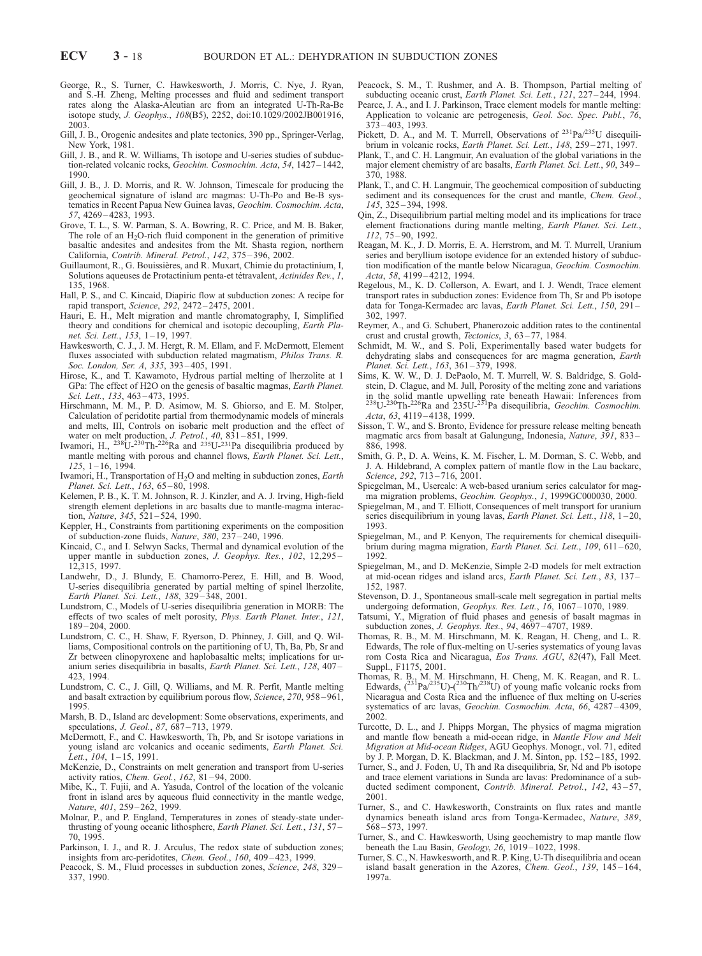- George, R., S. Turner, C. Hawkesworth, J. Morris, C. Nye, J. Ryan, and S.-H. Zheng, Melting processes and fluid and sediment transport rates along the Alaska-Aleutian arc from an integrated U-Th-Ra-Be isotope study, J. Geophys., 108(B5), 2252, doi:10.1029/2002JB001916, 2003.
- Gill, J. B., Orogenic andesites and plate tectonics, 390 pp., Springer-Verlag, New York, 1981.
- Gill, J. B., and R. W. Williams, Th isotope and U-series studies of subduction-related volcanic rocks, Geochim. Cosmochim. Acta, 54, 1427 – 1442, 1990.
- Gill, J. B., J. D. Morris, and R. W. Johnson, Timescale for producing the geochemical signature of island arc magmas: U-Th-Po and Be-B systematics in Recent Papua New Guinea lavas, Geochim. Cosmochim. Acta, 57, 4269 – 4283, 1993.
- Grove, T. L., S. W. Parman, S. A. Bowring, R. C. Price, and M. B. Baker, The role of an  $H_2O$ -rich fluid component in the generation of primitive basaltic andesites and andesites from the Mt. Shasta region, northern California, Contrib. Mineral. Petrol., 142, 375 – 396, 2002.
- Guillaumont, R., G. Bouissières, and R. Muxart, Chimie du protactinium, I, Solutions aqueuses de Protactinium penta-et tétravalent, Actinides Rev., 1, 135, 1968.
- Hall, P. S., and C. Kincaid, Diapiric flow at subduction zones: A recipe for rapid transport, Science, 292, 2472 – 2475, 2001.
- Hauri, E. H., Melt migration and mantle chromatography, I, Simplified theory and conditions for chemical and isotopic decoupling, Earth Planet. Sci. Lett., 153, 1 – 19, 1997.
- Hawkesworth, C. J., J. M. Hergt, R. M. Ellam, and F. McDermott, Element fluxes associated with subduction related magmatism, Philos Trans. R. Soc. London, Ser. A, 335, 393-405, 1991.
- Hirose, K., and T. Kawamoto, Hydrous partial melting of lherzolite at 1 GPa: The effect of H2O on the genesis of basaltic magmas, Earth Planet. Sci. Lett., 133, 463-473, 1995.
- Hirschmann, M. M., P. D. Asimow, M. S. Ghiorso, and E. M. Stolper, Calculation of peridotite partial from thermodynamic models of minerals and melts, III, Controls on isobaric melt production and the effect of water on melt production, *J. Petrol.*, 40, 831–851, 1999.<br>Iwamori, H., <sup>238</sup>U-<sup>230</sup>Th-<sup>226</sup>Ra and <sup>235</sup>U-<sup>231</sup>Pa disequilibria produced by
- mantle melting with porous and channel flows, Earth Planet. Sci. Lett.,  $125, 1 - 16, 1994.$
- Iwamori, H., Transportation of  $H_2O$  and melting in subduction zones, Earth Planet. Sci. Lett., 163, 65 – 80, 1998.
- Kelemen, P. B., K. T. M. Johnson, R. J. Kinzler, and A. J. Irving, High-field strength element depletions in arc basalts due to mantle-magma interaction, Nature, 345, 521-524, 1990.
- Keppler, H., Constraints from partitioning experiments on the composition of subduction-zone fluids, Nature, 380, 237-240, 1996.
- Kincaid, C., and I. Selwyn Sacks, Thermal and dynamical evolution of the upper mantle in subduction zones, J. Geophys. Res., 102, 12,295 – 12,315, 1997.
- Landwehr, D., J. Blundy, E. Chamorro-Perez, E. Hill, and B. Wood, U-series disequilibria generated by partial melting of spinel lherzolite, Earth Planet. Sci. Lett., 188, 329-348, 2001.
- Lundstrom, C., Models of U-series disequilibria generation in MORB: The effects of two scales of melt porosity, Phys. Earth Planet. Inter., 121, 189 – 204, 2000.
- Lundstrom, C. C., H. Shaw, F. Ryerson, D. Phinney, J. Gill, and Q. Williams, Compositional controls on the partitioning of U, Th, Ba, Pb, Sr and Zr between clinopyroxene and haplobasaltic melts; implications for uranium series disequilibria in basalts, Earth Planet. Sci. Lett., 128, 407 – 423, 1994.
- Lundstrom, C. C., J. Gill, Q. Williams, and M. R. Perfit, Mantle melting and basalt extraction by equilibrium porous flow, Science, 270, 958 – 961, 1995.
- Marsh, B. D., Island arc development: Some observations, experiments, and speculations, *J. Geol.*, 87, 687-713, 1979.
- McDermott, F., and C. Hawkesworth, Th, Pb, and Sr isotope variations in young island arc volcanics and oceanic sediments, Earth Planet. Sci. Lett., 104, 1-15, 1991.
- McKenzie, D., Constraints on melt generation and transport from U-series activity ratios, Chem. Geol., 162, 81 – 94, 2000.
- Mibe, K., T. Fujii, and A. Yasuda, Control of the location of the volcanic front in island arcs by aqueous fluid connectivity in the mantle wedge, Nature, 401, 259–262, 1999.
- Molnar, P., and P. England, Temperatures in zones of steady-state underthrusting of young oceanic lithosphere, Earth Planet. Sci. Lett., 131, 57 70, 1995.
- Parkinson, I. J., and R. J. Arculus, The redox state of subduction zones; insights from arc-peridotites, Chem. Geol., 160, 409 – 423, 1999.
- Peacock, S. M., Fluid processes in subduction zones, Science, 248, 329 337, 1990.
- Peacock, S. M., T. Rushmer, and A. B. Thompson, Partial melting of subducting oceanic crust, Earth Planet. Sci. Lett., 121, 227-244, 1994.
- Pearce, J. A., and I. J. Parkinson, Trace element models for mantle melting: Application to volcanic arc petrogenesis, Geol. Soc. Spec. Publ., 76,  $3\overline{7}3 - 403$ , 1993.
- Pickett, D. A., and M. T. Murrell, Observations of <sup>231</sup>Pa/<sup>235</sup>U disequilibrium in volcanic rocks, Earth Planet. Sci. Lett., 148, 259-271, 1997.
- Plank, T., and C. H. Langmuir, An evaluation of the global variations in the major element chemistry of arc basalts, Earth Planet. Sci. Lett., 90, 349 – 370, 1988.
- Plank, T., and C. H. Langmuir, The geochemical composition of subducting sediment and its consequences for the crust and mantle, *Chem. Geol.*, 145, 325 – 394, 1998.
- Qin, Z., Disequilibrium partial melting model and its implications for trace element fractionations during mantle melting, Earth Planet. Sci. Lett., 112, 75 – 90, 1992.
- Reagan, M. K., J. D. Morris, E. A. Herrstrom, and M. T. Murrell, Uranium series and beryllium isotope evidence for an extended history of subduction modification of the mantle below Nicaragua, Geochim. Cosmochim. Acta, 58, 4199 – 4212, 1994.
- Regelous, M., K. D. Collerson, A. Ewart, and I. J. Wendt, Trace element transport rates in subduction zones: Evidence from Th, Sr and Pb isotope data for Tonga-Kermadec arc lavas, Earth Planet. Sci. Lett., 150, 291 – 302, 1997.
- Reymer, A., and G. Schubert, Phanerozoic addition rates to the continental crust and crustal growth, Tectonics, 3, 63-77, 1984.
- Schmidt, M. W., and S. Poli, Experimentally based water budgets for dehydrating slabs and consequences for arc magma generation, Earth Planet. Sci. Lett., 163, 361-379, 1998.
- Sims, K. W. W., D. J. DePaolo, M. T. Murrell, W. S. Baldridge, S. Goldstein, D. Clague, and M. Jull, Porosity of the melting zone and variations in the solid mantle upwelling rate beneath Hawaii: Inferences from<br><sup>238</sup>U-<sup>230</sup>Th-<sup>226</sup>Ra and 235U-<sup>231</sup>Pa disequilibria, *Geochim. Cosmochim.* Acta, 63, 4119-4138, 1999.
- Sisson, T. W., and S. Bronto, Evidence for pressure release melting beneath magmatic arcs from basalt at Galungung, Indonesia, Nature, 391, 833-886, 1998.
- Smith, G. P., D. A. Weins, K. M. Fischer, L. M. Dorman, S. C. Webb, and J. A. Hildebrand, A complex pattern of mantle flow in the Lau backarc, Science, 292, 713-716, 2001.
- Spiegelman, M., Usercalc: A web-based uranium series calculator for magma migration problems, Geochim. Geophys., 1, 1999GC000030, 2000.
- Spiegelman, M., and T. Elliott, Consequences of melt transport for uranium series disequilibrium in young lavas, Earth Planet. Sci. Lett., 118, 1-20, 1993.
- Spiegelman, M., and P. Kenyon, The requirements for chemical disequilibrium during magma migration, Earth Planet. Sci. Lett., 109, 611-620, 1992.
- Spiegelman, M., and D. McKenzie, Simple 2-D models for melt extraction at mid-ocean ridges and island arcs, Earth Planet. Sci. Lett., 83, 137-152, 1987.
- Stevenson, D. J., Spontaneous small-scale melt segregation in partial melts undergoing deformation, Geophys. Res. Lett., 16, 1067-1070, 1989.
- Tatsumi, Y., Migration of fluid phases and genesis of basalt magmas in subduction zones, J. Geophys. Res., 94, 4697 – 4707, 1989.
- Thomas, R. B., M. M. Hirschmann, M. K. Reagan, H. Cheng, and L. R. Edwards, The role of flux-melting on U-series systematics of young lavas rom Costa Rica and Nicaragua, Eos Trans. AGU, 82(47), Fall Meet. Suppl., F1175, 2001.
- Thomas, R. B., M. M. Hirschmann, H. Cheng, M. K. Reagan, and R. L. Edwards,  $\binom{231}{4}$ Pa/<sup>235</sup>U)- $\binom{230}{10}$ Th/<sup>238</sup>U) of young mafic volcanic rocks from Nicaragua and Costa Rica and the influence of flux melting on U-series systematics of arc lavas, Geochim. Cosmochim. Acta, 66, 4287 – 4309, 2002.
- Turcotte, D. L., and J. Phipps Morgan, The physics of magma migration and mantle flow beneath a mid-ocean ridge, in Mantle Flow and Melt Migration at Mid-ocean Ridges, AGU Geophys. Monogr., vol. 71, edited by J. P. Morgan, D. K. Blackman, and J. M. Sinton, pp. 152 – 185, 1992.
- Turner, S., and J. Foden, U, Th and Ra disequilibria, Sr, Nd and Pb isotope and trace element variations in Sunda arc lavas: Predominance of a subducted sediment component, Contrib. Mineral. Petrol., 142, 43-57, 2001.
- Turner, S., and C. Hawkesworth, Constraints on flux rates and mantle dynamics beneath island arcs from Tonga-Kermadec, Nature, 389, 568 – 573, 1997.
- Turner, S., and C. Hawkesworth, Using geochemistry to map mantle flow beneath the Lau Basin, Geology, 26, 1019-1022, 1998.
- Turner, S. C., N. Hawkesworth, and R. P. King, U-Th disequilibria and ocean island basalt generation in the Azores, Chem. Geol.,  $139$ ,  $145-164$ , 1997a.